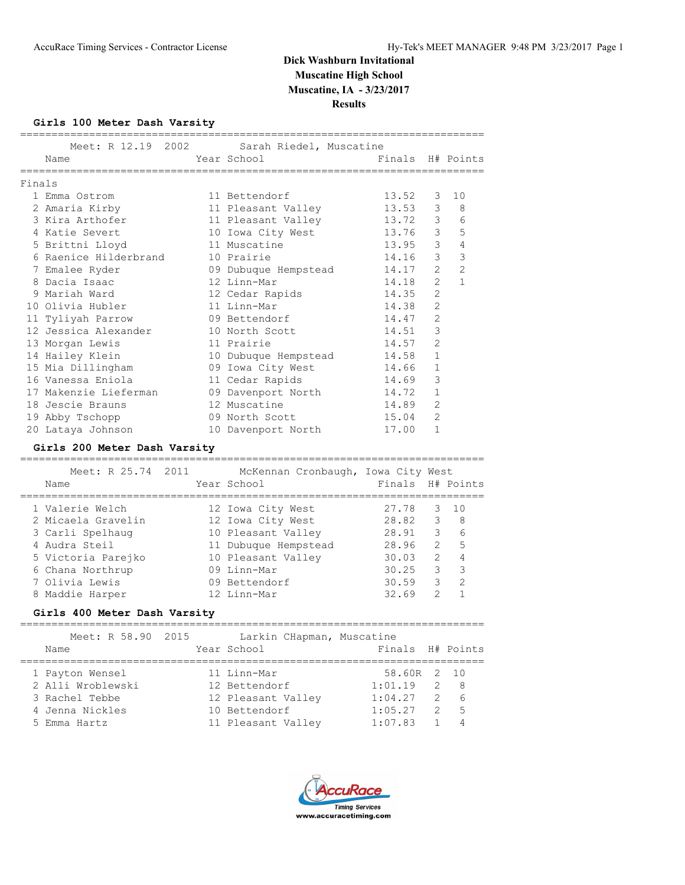**Results**

## **Girls 100 Meter Dash Varsity**

|        |                       | Meet: R 12.19 2002 Sarah Riedel, Muscatine                   |       |                |                  |
|--------|-----------------------|--------------------------------------------------------------|-------|----------------|------------------|
|        | Name                  | Year School                               Finals   H# Points |       |                |                  |
| Finals |                       |                                                              |       |                |                  |
|        | 1 Emma Ostrom         | 11 Bettendorf                                                | 13.52 | 3              | 10               |
|        | 2 Amaria Kirby        | 11 Pleasant Valley                                           | 13.53 |                | $3^{\circ}$<br>8 |
|        | 3 Kira Arthofer       | 11 Pleasant Valley                                           | 13.72 |                | $3^{\circ}$<br>6 |
|        | 4 Katie Severt        | 10 Iowa City West 13.76 3                                    |       |                | 5                |
|        | 5 Brittni Lloyd       | 11 Muscatine                                                 | 13.95 | $\mathcal{E}$  | $\overline{4}$   |
|        | 6 Raenice Hilderbrand | 10 Prairie                                                   | 14.16 | 3              | 3                |
|        | 7 Emalee Ryder        | 09 Dubuque Hempstead 14.17                                   |       | $\overline{2}$ | $\overline{c}$   |
|        | 8 Dacia Isaac         | 12 Linn-Mar                                                  | 14.18 | $\overline{2}$ | $\mathbf{1}$     |
|        | 9 Mariah Ward         | 12 Cedar Rapids                                              | 14.35 | $\overline{2}$ |                  |
|        | 10 Olivia Hubler      | 11 Linn-Mar                                                  | 14.38 | $\overline{2}$ |                  |
|        | 11 Tyliyah Parrow     | 09 Bettendorf                                                | 14.47 | $\overline{2}$ |                  |
|        | 12 Jessica Alexander  | 10 North Scott                                               | 14.51 | 3              |                  |
|        | 13 Morgan Lewis       | 11 Prairie                                                   | 14.57 | $\overline{2}$ |                  |
|        | 14 Hailey Klein       | 10 Dubuque Hempstead 14.58                                   |       | $\mathbf{1}$   |                  |
|        | 15 Mia Dillingham     | 09 Iowa City West 14.66                                      |       | $\mathbf{1}$   |                  |
|        | 16 Vanessa Eniola     | 11 Cedar Rapids                                              | 14.69 | 3              |                  |
|        | 17 Makenzie Lieferman | 09 Davenport North 14.72                                     |       | $\mathbf{1}$   |                  |
|        | 18 Jescie Brauns      | 12 Muscatine                                                 | 14.89 | $\overline{2}$ |                  |
|        | 19 Abby Tschopp       | 09 North Scott                                               | 15.04 | $\overline{2}$ |                  |
|        | 20 Lataya Johnson     | 10 Davenport North                                           | 17.00 | 1              |                  |

## **Girls 200 Meter Dash Varsity**

| Meet: R 25.74 2011<br>Name | McKennan Cronbaugh, Iowa City West<br>Year School | Finals H# Points |               |                     |
|----------------------------|---------------------------------------------------|------------------|---------------|---------------------|
| 1 Valerie Welch            | 12 Iowa City West                                 | 27.78            |               | $3 \quad 10$        |
| 2 Micaela Gravelin         | 12 Iowa City West                                 | 28.82            |               | $3 \quad 8$         |
| 3 Carli Spelhaug           | 10 Pleasant Valley                                | 28.91            |               | 3 <sup>7</sup><br>6 |
| 4 Audra Steil              | 11 Dubuque Hempstead                              | 28.96            | $\mathcal{L}$ | 5                   |
| 5 Victoria Parejko         | 10 Pleasant Valley                                | 30.03            | $\mathcal{P}$ | 4                   |
| 6 Chana Northrup           | 09 Linn-Mar                                       | 30.25            | 3             | 3                   |
| 7 Olivia Lewis             | 09 Bettendorf                                     | 30.59            | 3             | $\mathcal{P}$       |
| 8 Maddie Harper            | 12 Linn-Mar                                       | 32.69            | っ             |                     |
|                            |                                                   |                  |               |                     |

#### **Girls 400 Meter Dash Varsity**

| Meet: R 58.90 2015<br>Name                                                                | Larkin CHapman, Muscatine<br>Year School                                                  | Finals H# Points                                        |                                                        |
|-------------------------------------------------------------------------------------------|-------------------------------------------------------------------------------------------|---------------------------------------------------------|--------------------------------------------------------|
| 1 Payton Wensel<br>2 Alli Wroblewski<br>3 Rachel Tebbe<br>4 Jenna Nickles<br>5 Emma Hartz | 11 Linn-Mar<br>12 Bettendorf<br>12 Pleasant Valley<br>10 Bettendorf<br>11 Pleasant Valley | 58.60R 2 10<br>1:01.19<br>1:04.27<br>1:05.27<br>1:07.83 | 2 8<br>2 6<br>$-5$<br>$\overline{2}$<br>$\overline{4}$ |

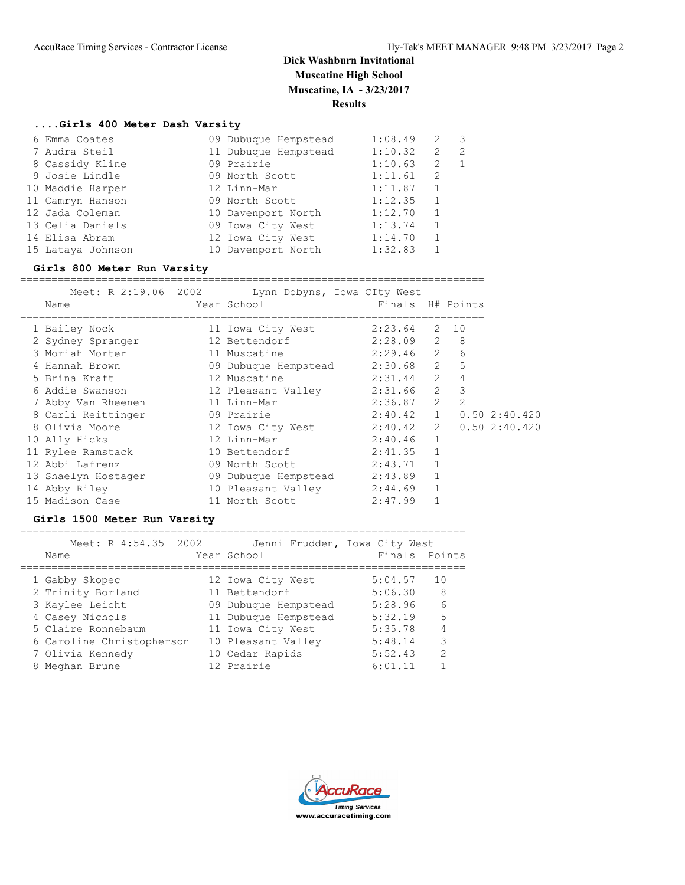#### **....Girls 400 Meter Dash Varsity**

| 6 Emma Coates     | 09 Dubuque Hempstead | 1:08.49 | 2            | 3 |
|-------------------|----------------------|---------|--------------|---|
| 7 Audra Steil     | 11 Dubuque Hempstead | 1:10.32 | 2            | 2 |
| 8 Cassidy Kline   | 09 Prairie           | 1:10.63 | 2            |   |
| 9 Josie Lindle    | 09 North Scott       | 1:11.61 | 2            |   |
| 10 Maddie Harper  | 12 Linn-Mar          | 1:11.87 |              |   |
| 11 Camryn Hanson  | 09 North Scott       | 1:12.35 | $\mathbf{1}$ |   |
| 12 Jada Coleman   | 10 Davenport North   | 1:12.70 | $\mathbf{1}$ |   |
| 13 Celia Daniels  | 09 Iowa City West    | 1:13.74 |              |   |
| 14 Elisa Abram    | 12 Iowa City West    | 1:14.70 | 1            |   |
| 15 Lataya Johnson | 10 Davenport North   | 1:32.83 |              |   |
|                   |                      |         |              |   |

#### **Girls 800 Meter Run Varsity**

==========================================================================

|                               | Meet: R 2:19.06 2002 Lynn Dobyns, Iowa CIty West                                                     |                         |              |    |              |
|-------------------------------|------------------------------------------------------------------------------------------------------|-------------------------|--------------|----|--------------|
| Name                          | Year School in the School and the School and the School and the School and the School and the School | Finals H# Points        |              |    |              |
| 1 Bailey Nock                 | 11 Iowa City West                                                                                    | $2:23.64$ 2             |              | 10 |              |
| 2 Sydney Spranger             | 12 Bettendorf                                                                                        | $2:28.09$ 2 8           |              |    |              |
| 3 Moriah Morter               | 11 Muscatine 2:29.46 2                                                                               |                         |              | 6  |              |
| 4 Hannah Brown                | 09 Dubuque Hempstead 2:30.68 2                                                                       |                         |              | 5  |              |
| 5 Brina Kraft                 | 12 Muscatine                                                                                         | $2:31.44$ 2             |              | 4  |              |
| 6 Addie Swanson               | 12 Pleasant Valley 2:31.66 2                                                                         |                         |              | 3  |              |
| 7 Abby Van Rheenen            | 11 Linn-Mar                                                                                          | $2:36.87$ 2             |              | 2  |              |
| 8 Carli Reittinger 19 Prairie |                                                                                                      | 2:40.42 1 0.50 2:40.420 |              |    |              |
| 8 Olivia Moore                | 12 Iowa City West                                                                                    | $2:40.42$ 2             |              |    | 0.502:30.420 |
| 10 Ally Hicks                 | 12 Linn-Mar                                                                                          | $2:40.46$ 1             |              |    |              |
| 11 Rylee Ramstack             | 10 Bettendorf                                                                                        | $2:41.35$ 1             |              |    |              |
| 12 Abbi Lafrenz               | 09 North Scott                                                                                       | 2:43.71 1               |              |    |              |
| 13 Shaelyn Hostager           | 09 Dubuque Hempstead 2:43.89                                                                         |                         | $\mathbf{1}$ |    |              |
| 14 Abby Riley                 | 10 Pleasant Valley                                                                                   | $2:44.69$ 1             |              |    |              |
| 15 Madison Case               | 11 North Scott                                                                                       | 2:47.99                 | $\mathbf{1}$ |    |              |

#### **Girls 1500 Meter Run Varsity**

======================================================================= Meet: R 4:54.35 2002 Jenni Frudden, Iowa City West Name Year School Finals Points ======================================================================= 1 Gabby Skopec 12 Iowa City West 5:04.57 10 2 Trinity Borland 11 Bettendorf 5:06.30 8 3 Kaylee Leicht 09 Dubuque Hempstead 5:28.96 6 4 Casey Nichols 11 Dubuque Hempstead 5:32.19 5 5 Claire Ronnebaum 11 Iowa City West 5:35.78 4 6 Caroline Christopherson 10 Pleasant Valley 5:48.14 3

 7 Olivia Kennedy 10 Cedar Rapids 5:52.43 2 8 Meghan Brune 12 Prairie 6:01.11 1

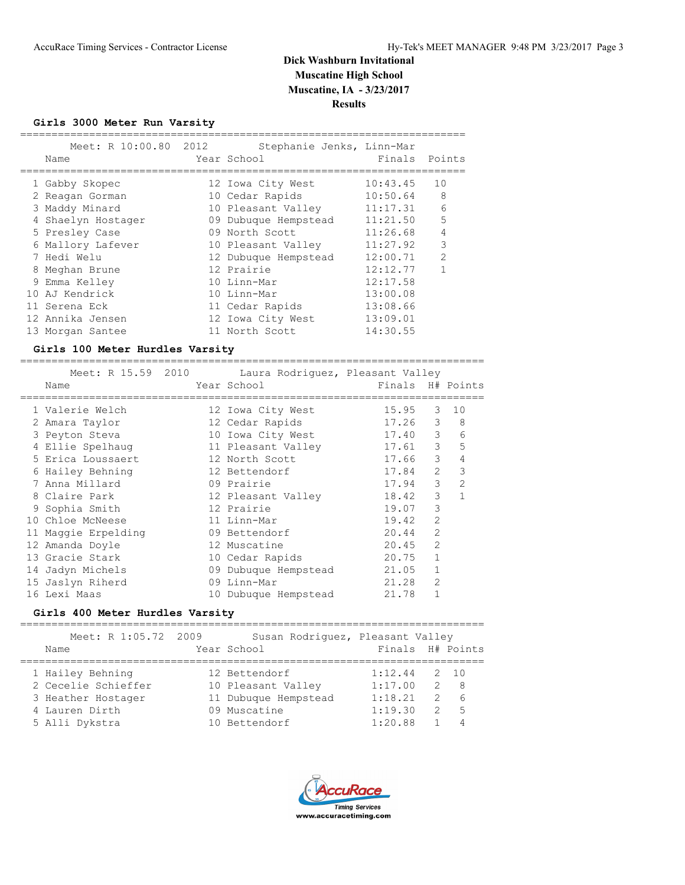**Girls 3000 Meter Run Varsity**

|   | Meet: R 10:00.80 2012<br>Name | Stephanie Jenks, Linn-Mar<br>Year School | Finals Points |    |
|---|-------------------------------|------------------------------------------|---------------|----|
|   | 1 Gabby Skopec                | 12 Iowa City West                        | 10:43.45      | 10 |
|   | 2 Reagan Gorman               | 10 Cedar Rapids                          | 10:50.64      | 8  |
|   | 3 Maddy Minard                | 10 Pleasant Valley                       | 11:17.31      | 6  |
|   | Shaelyn Hostager              | 09 Dubuque Hempstead                     | 11:21.50      | 5  |
|   | 5 Presley Case                | 09 North Scott                           | 11:26.68      | 4  |
|   | 6 Mallory Lafever             | 10 Pleasant Valley                       | 11:27.92      | 3  |
|   | 7 Hedi Welu                   | 12 Dubuque Hempstead                     | 12:00.71      | 2  |
| 8 | Meghan Brune                  | 12 Prairie                               | 12:12.77      | 1  |
|   | 9 Emma Kelley                 | 10 Linn-Mar                              | 12:17.58      |    |
|   | 10 AJ Kendrick                | 10 Linn-Mar                              | 13:00.08      |    |
|   | 11 Serena Eck                 | 11 Cedar Rapids                          | 13:08.66      |    |
|   | 12 Annika Jensen              | 12 Iowa City West                        | 13:09.01      |    |
|   | 13 Morgan Santee              | 11 North Scott                           | 14:30.55      |    |

## **Girls 100 Meter Hurdles Varsity**

| Meet: R 15.59 2010  |  | Laura Rodriquez, Pleasant Valley |                  |                |                |
|---------------------|--|----------------------------------|------------------|----------------|----------------|
| Name                |  | Year School                      | Finals H# Points |                |                |
| 1 Valerie Welch     |  | 12 Iowa City West                | 15.95            | 3              | 10             |
| 2 Amara Taylor      |  | 12 Cedar Rapids                  | 17.26            | 3              | 8              |
| 3 Peyton Steva      |  | 10 Iowa City West                | 17.40            | 3              | 6              |
| 4 Ellie Spelhaug    |  | 11 Pleasant Valley               | 17.61            | 3              | 5              |
| 5 Erica Loussaert   |  | 12 North Scott                   | 17.66            | 3              | 4              |
| 6 Hailey Behning    |  | 12 Bettendorf                    | 17.84            | $\mathcal{L}$  | 3              |
| 7 Anna Millard      |  | 09 Prairie                       | 17.94            | 3              | $\overline{2}$ |
| 8 Claire Park       |  | 12 Pleasant Valley               | 18.42            | 3              |                |
| 9 Sophia Smith      |  | 12 Prairie                       | 19.07            | 3              |                |
| 10 Chloe McNeese    |  | 11 Linn-Mar                      | 19.42            | $\overline{2}$ |                |
| 11 Maggie Erpelding |  | 09 Bettendorf                    | 20.44            | $\overline{2}$ |                |
| 12 Amanda Doyle     |  | 12 Muscatine                     | 20.45            | $\overline{2}$ |                |
| 13 Gracie Stark     |  | 10 Cedar Rapids                  | 20.75            |                |                |
| 14 Jadyn Michels    |  | 09 Dubuque Hempstead             | 21.05            |                |                |
| 15 Jaslyn Riherd    |  | 09 Linn-Mar                      | 21.28            | $\mathfrak{D}$ |                |
| 16 Lexi Maas        |  | 10 Dubuque Hempstead             | 21.78            |                |                |

==========================================================================

#### **Girls 400 Meter Hurdles Varsity**

==========================================================================

| Meet: R 1:05.72 2009 | Susan Rodriquez, Pleasant Valley |                                 |
|----------------------|----------------------------------|---------------------------------|
| Name                 | Year School                      | Finals H# Points                |
|                      |                                  |                                 |
| 1 Hailey Behning     | 12 Bettendorf                    | 1:12.44<br>2 10                 |
| 2 Cecelie Schieffer  | 10 Pleasant Valley               | 1:17.00<br>- 8<br>$\mathcal{L}$ |
| 3 Heather Hostager   | 11 Dubuque Hempstead             | 1:18.21<br>$\mathcal{P}$<br>-6  |
| 4 Lauren Dirth       | 09 Muscatine                     | 1:19.30<br>- 5<br>2             |
| 5 Alli Dykstra       | 10 Bettendorf                    | 1:20.88<br>4                    |
|                      |                                  |                                 |

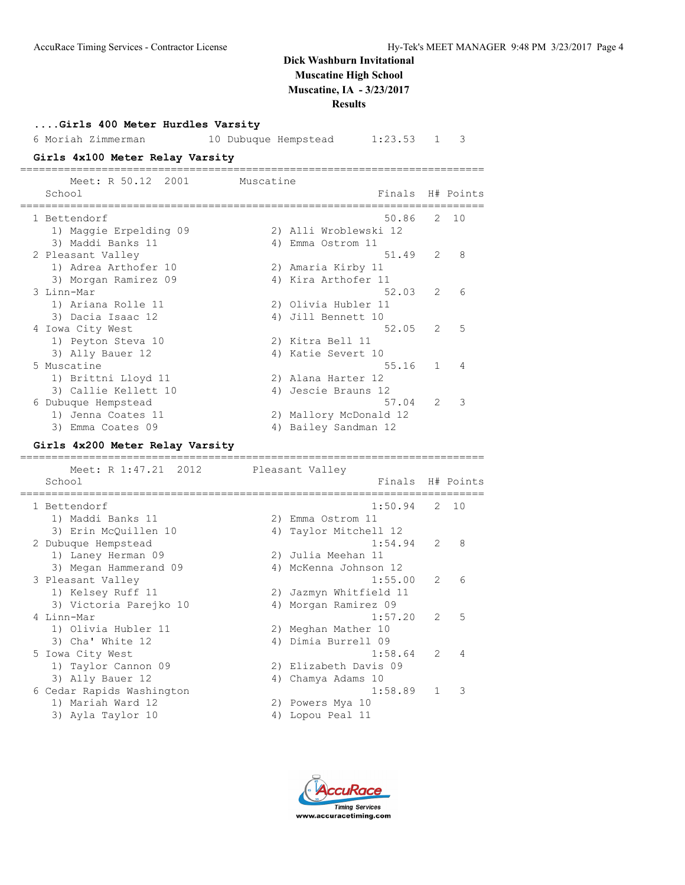**Results**

| Girls 400 Meter Hurdles Varsity |                                           |
|---------------------------------|-------------------------------------------|
| 6 Moriah Zimmerman              | 10 Dubuque Hempstead<br>1:23.53<br>3<br>1 |
| Girls 4x100 Meter Relay Varsity |                                           |
|                                 |                                           |
| Meet: R 50.12<br>2001           | Muscatine                                 |
| School                          | Finals<br>H# Points                       |
|                                 |                                           |
| 1 Bettendorf                    | 50.86<br>2.<br>10                         |
| 1) Maggie Erpelding 09          | 2) Alli Wroblewski 12                     |
| 3) Maddi Banks 11               | 4) Emma Ostrom 11                         |
| 2 Pleasant Valley               | 51.49<br>2<br>8                           |
| 1) Adrea Arthofer 10            | 2) Amaria Kirby 11                        |
| 3) Morgan Ramirez 09            | 4) Kira Arthofer 11                       |
| 3 Linn-Mar                      | 52.03<br>2<br>6                           |
| 1) Ariana Rolle 11              | 2) Olivia Hubler 11                       |
| 3) Dacia Isaac 12               | 4) Jill Bennett 10                        |
| 4 Iowa City West                | 5<br>52.05<br>2                           |
| 1) Peyton Steva 10              | 2) Kitra Bell 11                          |
| 3) Ally Bauer 12                | 4) Katie Severt 10                        |
| 5 Muscatine                     | 55.16<br>1<br>4                           |
| 1) Brittni Lloyd 11             | 2) Alana Harter 12                        |
|                                 | 4) Jescie Brauns 12                       |
| 3) Callie Kellett 10            |                                           |
| 6 Dubuque Hempstead             | 57.04<br>2<br>3                           |
| 1) Jenna Coates 11              | 2) Mallory McDonald 12                    |
| 3) Emma Coates 09               | 4) Bailey Sandman 12                      |
| Girls 4x200 Meter Relay Varsity |                                           |
|                                 | ---------                                 |
| Meet: R 1:47.21<br>2012         | Pleasant Valley                           |
| School                          | Finals<br>H# Points                       |
|                                 |                                           |
| 1 Bettendorf                    | 1:50.94<br>2<br>10                        |
| 1) Maddi Banks 11               | 2) Emma Ostrom 11                         |
| 3) Erin McQuillen 10            | 4) Taylor Mitchell 12                     |
| 2 Dubuque Hempstead             | 1:54.94<br>2<br>8                         |
| 1) Laney Herman 09              | 2) Julia Meehan 11                        |
| 3) Megan Hammerand 09           | 4) McKenna Johnson 12                     |
| 3 Pleasant Valley               | 1:55.00<br>2<br>6                         |
| 1) Kelsey Ruff 11               | 2) Jazmyn Whitfield 11                    |
| 3) Victoria Parejko 10          | 4) Morgan Ramirez 09                      |
| 4 Linn-Mar                      | 5<br>1:57.20<br>2                         |
| 1) Olivia Hubler 11             | 2) Meghan Mather 10                       |
| 3) Cha' White 12                | 4) Dimia Burrell 09                       |
| 5 Iowa City West                | 1:58.64<br>4<br>2                         |
| 1) Taylor Cannon 09             | 2) Elizabeth Davis 09                     |
| 3) Ally Bauer 12                | 4) Chamya Adams 10                        |
| 6 Cedar Rapids Washington       | 3<br>1:58.89<br>1                         |
| 1) Mariah Ward 12               | 2) Powers Mya 10                          |
|                                 |                                           |
| 3) Ayla Taylor 10               | 4) Lopou Peal 11                          |

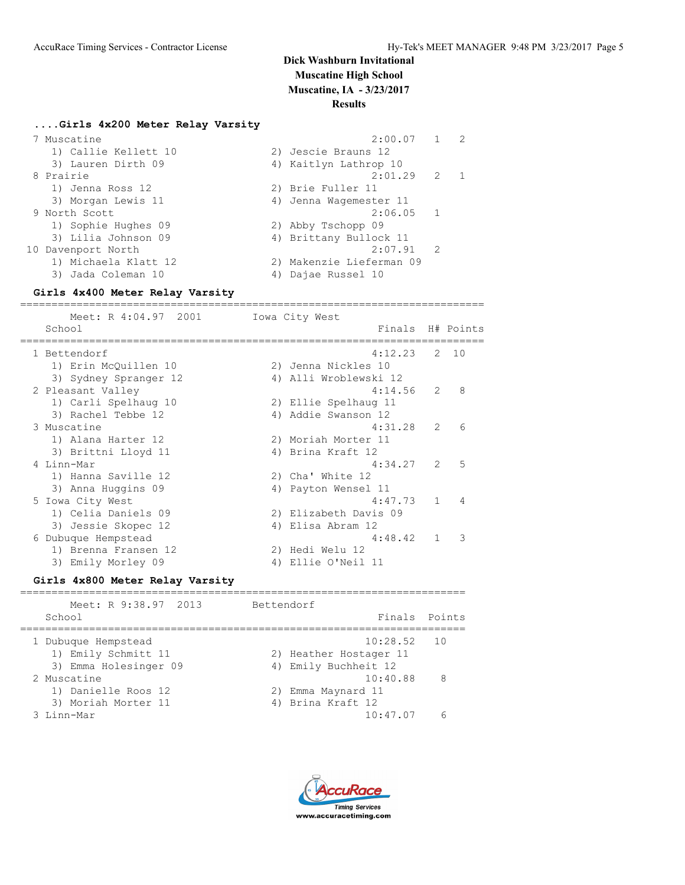### **....Girls 4x200 Meter Relay Varsity**

| 7 Muscatine          | 2:00.07                  | $\overline{2}$ |
|----------------------|--------------------------|----------------|
| 1) Callie Kellett 10 | 2) Jescie Brauns 12      |                |
| 3) Lauren Dirth 09   | 4) Kaitlyn Lathrop 10    |                |
| 8 Prairie            | $2:01.29$ 2              | -1             |
| 1) Jenna Ross 12     | 2) Brie Fuller 11        |                |
| 3) Morgan Lewis 11   | 4) Jenna Wagemester 11   |                |
| 9 North Scott        | $2:06.05$ 1              |                |
| 1) Sophie Hughes 09  | 2) Abby Tschopp 09       |                |
| 3) Lilia Johnson 09  | 4) Brittany Bullock 11   |                |
| 10 Davenport North   | $2:07.91$ 2              |                |
| 1) Michaela Klatt 12 | 2) Makenzie Lieferman 09 |                |
| 3) Jada Coleman 10   | Dajae Russel 10          |                |
|                      |                          |                |

==========================================================================

#### **Girls 4x400 Meter Relay Varsity**

Meet: R 4:04.97 2001 Iowa City West School **Finals** H# Points ========================================================================== 1 Bettendorf 4:12.23 2 10 1) Erin McQuillen 10 2) Jenna Nickles 10 3) Sydney Spranger 12 4) Alli Wroblewski 12 2 Pleasant Valley 4:14.56 2 8 1) Carli Spelhaug 10 2) Ellie Spelhaug 11 3) Rachel Tebbe 12 12 12 4) Addie Swanson 12 3 Muscatine 4:31.28 2 6 1) Alana Harter 12 2) Moriah Morter 11 3) Brittni Lloyd 11 14) Brina Kraft 12 4 Linn-Mar 4:34.27 2 5 1) Hanna Saville 12 2) Cha' White 12 3) Anna Huggins 09 1988 - 1988 120 4) Payton Wensel 11 5 Iowa City West 2012 12:47.73 1 4 1) Celia Daniels 09 2) Elizabeth Davis 09 3) Jessie Skopec 12 (4) Elisa Abram 12 6 Dubuque Hempstead 4:48.42 1 3 Pubuque Hempstead<br>
1) Brenna Fransen 12 2) Hedi Welu 12<br>
2) Fuilis Merley 20 2 2 1111 2011 3) Emily Morley 09 4) Ellie O'Neil 11

#### **Girls 4x800 Meter Relay Varsity**

| Meet: R 9:38.97 2013<br>School | Bettendorf<br>Finals Points |     |
|--------------------------------|-----------------------------|-----|
|                                |                             |     |
| 1 Dubuque Hempstead            | $10:28.52$ 10               |     |
| 1) Emily Schmitt 11            | 2) Heather Hostager 11      |     |
| 3) Emma Holesinger 09          | 4) Emily Buchheit 12        |     |
| 2 Muscatine                    | 10:40.88                    | - 8 |
| 1) Danielle Roos 12            | 2) Emma Maynard 11          |     |
| 3) Moriah Morter 11            | 4) Brina Kraft 12           |     |
| 3 Linn-Mar                     | 10:47.07                    |     |
|                                |                             |     |

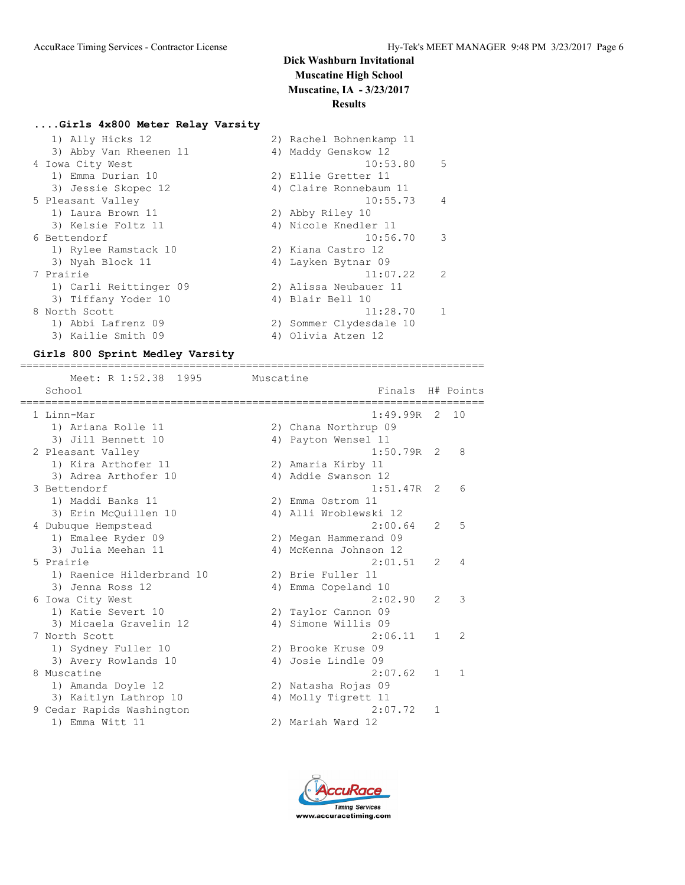### **....Girls 4x800 Meter Relay Varsity**

| 1) Ally Hicks 12       | 2) Rachel Bohnenkamp 11 |                |
|------------------------|-------------------------|----------------|
| 3) Abby Van Rheenen 11 | 4) Maddy Genskow 12     |                |
| 4 Iowa City West       | 10:53.80                | .5             |
| 1) Emma Durian 10      | 2) Ellie Gretter 11     |                |
| 3) Jessie Skopec 12    | 4) Claire Ronnebaum 11  |                |
| 5 Pleasant Valley      | 10:55.73                | $\overline{4}$ |
| 1) Laura Brown 11      | 2) Abby Riley 10        |                |
| 3) Kelsie Foltz 11     | 4) Nicole Knedler 11    |                |
| 6 Bettendorf           | 10:56.70                | 3              |
| 1) Rylee Ramstack 10   | 2) Kiana Castro 12      |                |
| 3) Nyah Block 11       | 4) Layken Bytnar 09     |                |
| 7 Prairie              | 11:07.22                | $\mathcal{L}$  |
| 1) Carli Reittinger 09 | 2) Alissa Neubauer 11   |                |
| 3) Tiffany Yoder 10    | 4) Blair Bell 10        |                |
| 8 North Scott          | 11:28.70                |                |
| 1) Abbi Lafrenz 09     | 2) Sommer Clydesdale 10 |                |
| 3) Kailie Smith 09     | 4) Olivia Atzen 12      |                |

#### **Girls 800 Sprint Medley Varsity**

========================================================================== Meet: R 1:52.38 1995 Muscatine School **Finals** H# Points ========================================================================== 1 Linn-Mar 1:49.99R 2 10 1) Ariana Rolle 11 2) Chana Northrup 09 3) Jill Bennett 10 4) Payton Wensel 11 2 Pleasant Valley 1:50.79R 2 8 1) Kira Arthofer 11 2) Amaria Kirby 11 3) Adrea Arthofer 10 1988 1999 10 4) Addie Swanson 12 3 Bettendorf 1:51.47R 2 6 1) Maddi Banks 11 2) Emma Ostrom 11 3) Erin McQuillen 10 4) Alli Wroblewski 12 4 Dubuque Hempstead 2:00.64 2 5 1) Emalee Ryder 09 2) Megan Hammerand 09 3) Julia Meehan 11 4) McKenna Johnson 12 5 Prairie 2:01.51 2 4 1) Raenice Hilderbrand 10 2) Brie Fuller 11 3) Jenna Ross 12 (a) 4) Emma Copeland 10 6 Iowa City West 2:02.90 2 3 1) Katie Severt 10 2) Taylor Cannon 09 3) Micaela Gravelin 12 4) Simone Willis 09 7 North Scott 2:06.11 1 2 1) Sydney Fuller 10 2) Brooke Kruse 09 3) Avery Rowlands 10 (4) Josie Lindle 09 8 Muscatine 2:07.62 1 1 1) Amanda Doyle 12 2) Natasha Rojas 09 3) Kaitlyn Lathrop 10 4) Molly Tigrett 11 9 Cedar Rapids Washington 2:07.72 1 1) Emma Witt 11 2) Mariah Ward 12

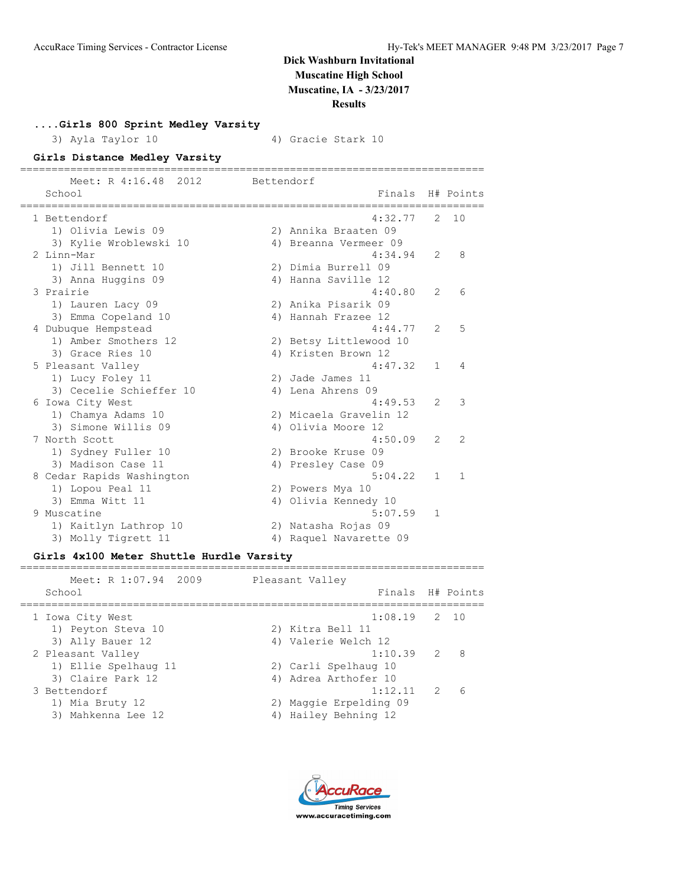**....Girls 800 Sprint Medley Varsity**

3) Ayla Taylor 10 4) Gracie Stark 10

## **Girls Distance Medley Varsity**

| Meet: R 4:16.48 2012       | Bettendorf |                        |                |                |
|----------------------------|------------|------------------------|----------------|----------------|
| School<br>---------------- |            | Finals                 |                | H# Points      |
| 1 Bettendorf               |            | 4:32.77                | 2              | 10             |
| 1) Olivia Lewis 09         |            | 2) Annika Braaten 09   |                |                |
| 3) Kylie Wroblewski 10     |            | 4) Breanna Vermeer 09  |                |                |
| 2 Linn-Mar                 |            | 4:34.94                | $\mathcal{L}$  | 8              |
| 1) Jill Bennett 10         |            | 2) Dimia Burrell 09    |                |                |
| 3) Anna Huggins 09         |            | 4) Hanna Saville 12    |                |                |
| 3 Prairie                  |            | 4:40.80                | $\mathcal{L}$  | 6              |
| 1) Lauren Lacy 09          |            | 2) Anika Pisarik 09    |                |                |
| 3) Emma Copeland 10        |            | 4) Hannah Frazee 12    |                |                |
| 4 Dubuque Hempstead        |            | 4:44.77                | $\overline{2}$ | 5              |
| 1) Amber Smothers 12       |            | 2) Betsy Littlewood 10 |                |                |
| 3) Grace Ries 10           |            | 4) Kristen Brown 12    |                |                |
| 5 Pleasant Valley          |            | 4:47.32                | 1              | 4              |
| 1) Lucy Foley 11           |            | 2) Jade James 11       |                |                |
| 3) Cecelie Schieffer 10    |            | 4) Lena Ahrens 09      |                |                |
| 6 Iowa City West           |            | 4:49.53                | $\mathcal{L}$  | 3              |
| 1) Chamya Adams 10         |            | 2) Micaela Gravelin 12 |                |                |
| 3) Simone Willis 09        |            | 4) Olivia Moore 12     |                |                |
| 7 North Scott              |            | 4:50.09                | $\mathfrak{L}$ | $\overline{2}$ |
| 1) Sydney Fuller 10        |            | 2) Brooke Kruse 09     |                |                |
| 3) Madison Case 11         |            | 4) Presley Case 09     |                |                |
| 8 Cedar Rapids Washington  |            | 5:04.22                | 1.             | $\mathbf{1}$   |
| 1) Lopou Peal 11           |            | 2) Powers Mya 10       |                |                |
| 3) Emma Witt 11            |            | 4) Olivia Kennedy 10   |                |                |
| 9 Muscatine                |            | 5:07.59                | $\mathbf{1}$   |                |
| 1) Kaitlyn Lathrop 10      |            | 2) Natasha Rojas 09    |                |                |
| 3) Molly Tigrett 11        |            | 4) Raquel Navarette 09 |                |                |

## **Girls 4x100 Meter Shuttle Hurdle Varsity**

| Meet: R 1:07.94 2009<br>Pleasant Valley<br>Finals H# Points<br>School<br>$1:08.19$ 2 10<br>1 Iowa City West<br>1) Peyton Steva 10<br>2) Kitra Bell 11<br>3) Ally Bauer 12<br>4) Valerie Welch 12<br>$1:10.39$ 2<br>- 8<br>2 Pleasant Valley<br>1) Ellie Spelhaug 11<br>2) Carli Spelhaug 10<br>3) Claire Park 12<br>4) Adrea Arthofer 10<br>1:12.11<br>$\mathcal{P}$<br>3 Bettendorf<br>6<br>1) Mia Bruty 12<br>2) Maggie Erpelding 09<br>4) Hailey Behning 12<br>3) Mahkenna Lee 12 |  |  |
|--------------------------------------------------------------------------------------------------------------------------------------------------------------------------------------------------------------------------------------------------------------------------------------------------------------------------------------------------------------------------------------------------------------------------------------------------------------------------------------|--|--|
|                                                                                                                                                                                                                                                                                                                                                                                                                                                                                      |  |  |
|                                                                                                                                                                                                                                                                                                                                                                                                                                                                                      |  |  |
|                                                                                                                                                                                                                                                                                                                                                                                                                                                                                      |  |  |
|                                                                                                                                                                                                                                                                                                                                                                                                                                                                                      |  |  |

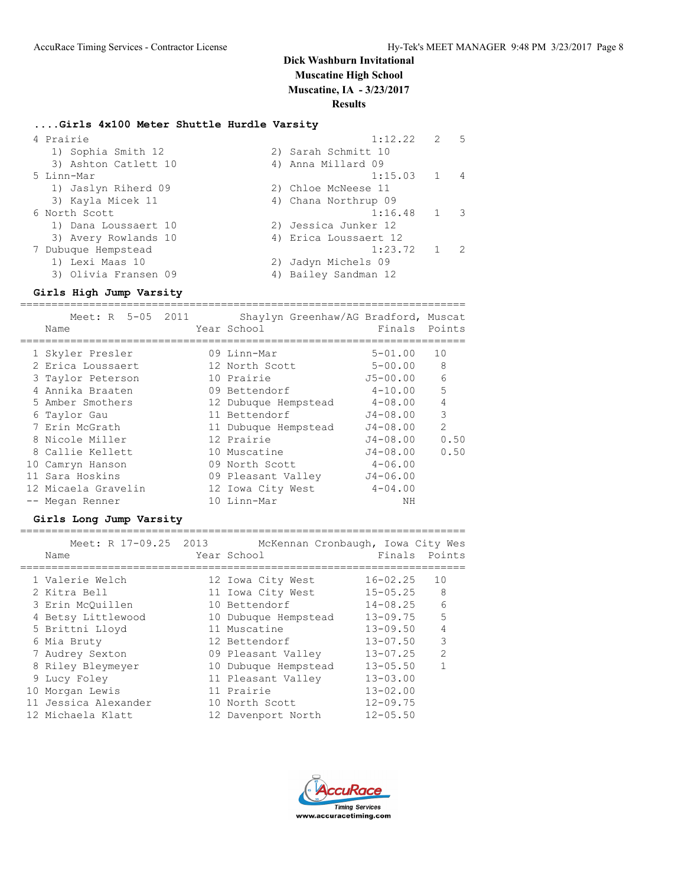# **Dick Washburn Invitational Muscatine High School**

**Muscatine, IA - 3/23/2017**

## **Results**

## **....Girls 4x100 Meter Shuttle Hurdle Varsity**

| 4 Prairie            | 1:12.22               | 2 | 5                        |
|----------------------|-----------------------|---|--------------------------|
| 1) Sophia Smith 12   | 2) Sarah Schmitt 10   |   |                          |
| 3) Ashton Catlett 10 | 4) Anna Millard 09    |   |                          |
| 5 Linn-Mar           | 1:15.03 1             |   | 4                        |
| 1) Jaslyn Riherd 09  | 2) Chloe McNeese 11   |   |                          |
| 3) Kayla Micek 11    | 4) Chana Northrup 09  |   |                          |
| 6 North Scott        | $1:16.48$ 1           |   | $\overline{\phantom{a}}$ |
| 1) Dana Loussaert 10 | 2) Jessica Junker 12  |   |                          |
| 3) Avery Rowlands 10 | 4) Erica Loussaert 12 |   |                          |
| 7 Dubuque Hempstead  | $1:23.72$ 1           |   | 2                        |
| 1) Lexi Maas 10      | 2) Jadyn Michels 09   |   |                          |
| 3) Olivia Fransen 09 | 4) Bailey Sandman 12  |   |                          |
|                      |                       |   |                          |

## **Girls High Jump Varsity**

| Meet: R 5-05 2011<br>Name | Shaylyn Greenhaw/AG Bradford, Muscat<br>Year School | Finals Points |                |
|---------------------------|-----------------------------------------------------|---------------|----------------|
| 1 Skyler Presler          | 09 Linn-Mar                                         | $5 - 01.00$   | 10             |
| 2 Erica Loussaert         | 12 North Scott                                      | $5 - 00.00$   | 8              |
| 3 Taylor Peterson         | 10 Prairie                                          | $J5 - 00.00$  | 6              |
| 4 Annika Braaten          | 09 Bettendorf                                       | $4 - 10.00$   | 5              |
| 5 Amber Smothers          | 12 Dubuque Hempstead                                | $4 - 08.00$   | $\overline{4}$ |
| 6 Taylor Gau              | 11 Bettendorf                                       | $J4 - 08.00$  | 3              |
| 7 Erin McGrath            | 11 Dubuque Hempstead                                | $J4 - 08.00$  | $\mathfrak{D}$ |
| 8 Nicole Miller           | 12 Prairie                                          | $J4 - 08.00$  | 0.50           |
| 8 Callie Kellett          | 10 Muscatine                                        | $J4 - 08.00$  | 0.50           |
| 10 Camryn Hanson          | 09 North Scott                                      | $4 - 06.00$   |                |
| 11 Sara Hoskins           | 09 Pleasant Valley                                  | $J4 - 06.00$  |                |
| 12 Micaela Gravelin       | 12 Iowa City West                                   | $4 - 04.00$   |                |
| -- Megan Renner           | 10 Linn-Mar                                         | NΗ            |                |

## **Girls Long Jump Varsity**

| Meet: R 17-09.25 2013<br>Name | McKennan Cronbaugh, Iowa City Wes<br>Year School | Finals       | Points        |
|-------------------------------|--------------------------------------------------|--------------|---------------|
| 1 Valerie Welch               | 12 Iowa City West                                | $16 - 02.25$ | 10            |
| 2 Kitra Bell                  | 11 Iowa City West                                | $15 - 05.25$ | 8             |
| 3 Erin McOuillen              | 10 Bettendorf                                    | $14 - 08.25$ | 6             |
| 4 Betsy Littlewood            | 10 Dubuque Hempstead                             | $13 - 09.75$ | 5             |
| 5 Brittni Lloyd               | 11 Muscatine                                     | $13 - 09.50$ |               |
| 6 Mia Bruty                   | 12 Bettendorf                                    | $13 - 07.50$ | 3             |
| 7 Audrey Sexton               | 09 Pleasant Valley                               | $13 - 07.25$ | $\mathcal{P}$ |
| 8 Riley Bleymeyer             | 10 Dubuque Hempstead                             | $13 - 05.50$ |               |
| 9 Lucy Foley                  | 11 Pleasant Valley                               | $13 - 03.00$ |               |
| 10 Morgan Lewis               | 11 Prairie                                       | $13 - 02.00$ |               |
| 11 Jessica Alexander          | 10 North Scott                                   | $12 - 09.75$ |               |
| 12 Michaela Klatt             | 12 Davenport North                               | $12 - 05.50$ |               |

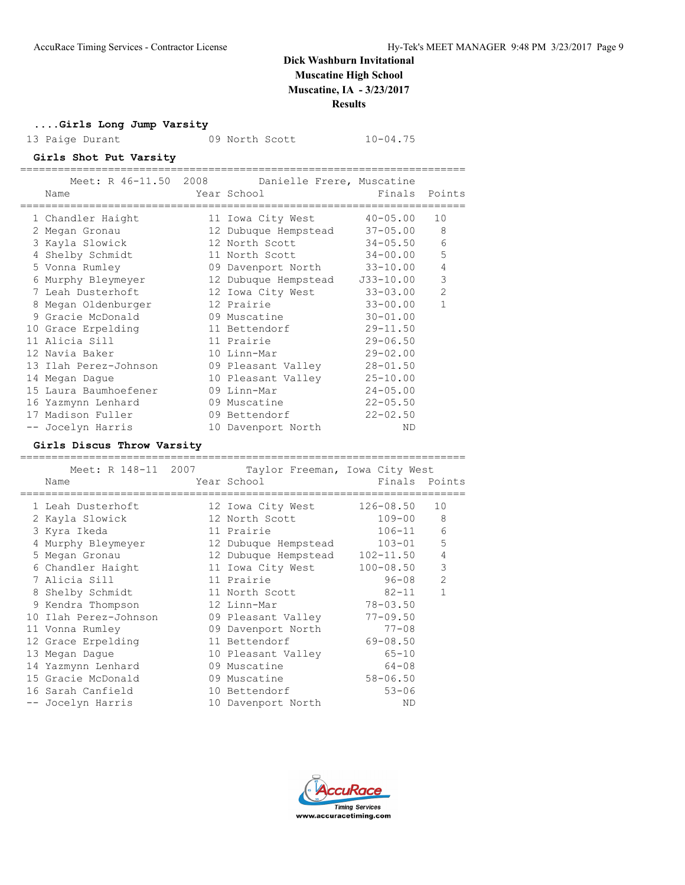**....Girls Long Jump Varsity**

13 Paige Durant 09 North Scott 10-04.75

### **Girls Shot Put Varsity**

|   |                       |            | Meet: R 46-11.50 2008 Danielle Frere, Muscatine |              |                |
|---|-----------------------|------------|-------------------------------------------------|--------------|----------------|
|   | Name                  | ========== | Year School                                     |              | Finals Points  |
|   | 1 Chandler Haight     |            | 11 Iowa City West                               | $40 - 05.00$ | 10             |
|   | 2 Megan Gronau        |            | 12 Dubuque Hempstead                            | $37 - 05.00$ | 8              |
|   | 3 Kayla Slowick       |            | 12 North Scott                                  | $34 - 05.50$ | 6              |
|   | 4 Shelby Schmidt      |            | 11 North Scott                                  | 34-00.00     | 5              |
|   | 5 Vonna Rumley        |            | 09 Davenport North 33-10.00                     |              | $\overline{4}$ |
|   | 6 Murphy Bleymeyer    |            | 12 Dubuque Hempstead                            | J33-10.00    | 3              |
|   | 7 Leah Dusterhoft     |            | 12 Iowa City West                               | $33 - 03.00$ | $\overline{2}$ |
| 8 | Megan Oldenburger     |            | 12 Prairie                                      | $33 - 00.00$ |                |
|   | 9 Gracie McDonald     |            | 09 Muscatine                                    | $30 - 01.00$ |                |
|   | 10 Grace Erpelding    |            | 11 Bettendorf                                   | $29 - 11.50$ |                |
|   | 11 Alicia Sill        |            | 11 Prairie                                      | $29 - 06.50$ |                |
|   | 12 Navia Baker        |            | 10 Linn-Mar                                     | $29 - 02.00$ |                |
|   | 13 Ilah Perez-Johnson |            | 09 Pleasant Valley                              | $28 - 01.50$ |                |
|   | 14 Megan Dague        |            | 10 Pleasant Valley                              | $25 - 10.00$ |                |
|   | 15 Laura Baumhoefener |            | 09 Linn-Mar                                     | $24 - 05.00$ |                |
|   | 16 Yazmynn Lenhard    |            | 09 Muscatine                                    | $22 - 05.50$ |                |
|   | 17 Madison Fuller     |            | 09 Bettendorf                                   | $22 - 02.50$ |                |
|   | -- Jocelyn Harris     |            | 10 Davenport North                              | ND           |                |
|   |                       |            |                                                 |              |                |

### **Girls Discus Throw Varsity**

| Meet: R 148-11 2007<br>Name | Taylor Freeman, Iowa City West<br>Year School | Finals        | Points         |
|-----------------------------|-----------------------------------------------|---------------|----------------|
| 1 Leah Dusterhoft           | 12 Iowa City West                             | 126-08.50     | 10             |
| 2 Kayla Slowick             | 12 North Scott                                | $109 - 00$    | 8              |
| 3 Kyra Ikeda                | 11 Prairie                                    | $106 - 11$    | 6              |
| 4 Murphy Bleymeyer          | 12 Dubuque Hempstead                          | $103 - 01$    | 5              |
| 5 Megan Gronau              | 12 Dubuque Hempstead                          | $102 - 11.50$ | 4              |
| 6 Chandler Haight           | 11 Iowa City West                             | $100 - 08.50$ | 3              |
| 7 Alicia Sill               | 11 Prairie                                    | 96-08         | $\overline{2}$ |
| 8 Shelby Schmidt            | 11 North Scott                                | $82 - 11$     | 1              |
| 9 Kendra Thompson           | 12 Linn-Mar                                   | $78 - 03.50$  |                |
| 10 Ilah Perez-Johnson       | 09 Pleasant Valley                            | $77 - 09.50$  |                |
| 11 Vonna Rumley             | 09 Davenport North                            | $77 - 08$     |                |
| 12 Grace Erpelding          | 11 Bettendorf                                 | $69 - 08.50$  |                |
| 13 Megan Dague              | 10 Pleasant Valley                            | $65 - 10$     |                |
| 14 Yazmynn Lenhard          | 09 Muscatine                                  | $64 - 08$     |                |
| 15 Gracie McDonald          | 09 Muscatine                                  | $58 - 06.50$  |                |
| 16 Sarah Canfield           | 10 Bettendorf                                 | $53 - 06$     |                |
| -- Jocelyn Harris           | 10 Davenport North                            | ND            |                |

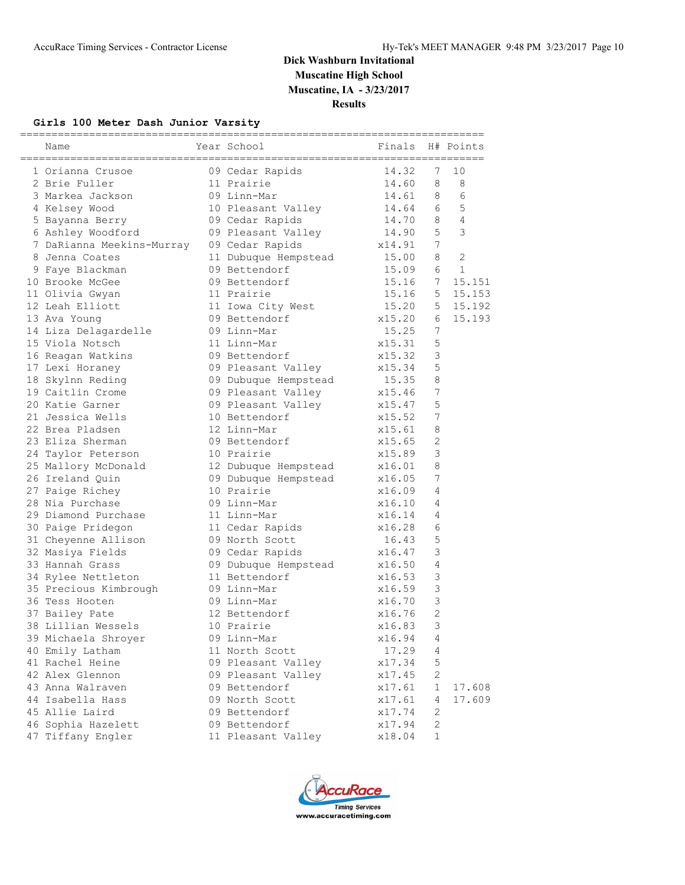## **Girls 100 Meter Dash Junior Varsity**

| Name                                      | Year School                                             | =================<br>Finals |                 | H# Points    |
|-------------------------------------------|---------------------------------------------------------|-----------------------------|-----------------|--------------|
| 1 Orianna Crusoe                          |                                                         |                             | 7               | 10           |
| 2 Brie Fuller                             | 09 Cedar Rapids 14.32<br>11 Prairie 14.60<br>11 Prairie | 14.60                       | 8               | 8            |
| 3 Markea Jackson                          | 09 Linn-Mar                                             | 14.61                       | 8               | 6            |
| 4 Kelsey Wood                             | 10 Pleasant Valley 14.64                                |                             | 6               | 5            |
| 5 Bayanna Berry                           | 09 Cedar Rapids                                         | 14.70                       | 8               | 4            |
| 6 Ashley Woodford                         | 09 Pleasant Valley 14.90                                |                             | 5               | 3            |
| 7 DaRianna Meekins-Murray 09 Cedar Rapids | x14.91                                                  |                             | 7               |              |
| 8 Jenna Coates                            |                                                         |                             | 8               | 2            |
| 9 Faye Blackman                           | 11 Dubuque Hempstead<br>09 Bettendorf                   | 15.00<br>15.09              | 6               | $\mathbf{1}$ |
| 10 Brooke McGee                           | 09 Bettendorf                                           | 15.16                       | 7               | 15.151       |
| 11 Olivia Gwyan                           | 11 Prairie                                              | 15.16                       | 5               | 15.153       |
| 12 Leah Elliott                           | 11 Iowa City West 15.20                                 |                             | 5               | 15.192       |
| 13 Ava Young                              | 09 Bettendorf                                           | x15.20                      | 6               | 15.193       |
| 14 Liza Delagardelle                      | 09 Linn-Mar                                             | 15.25                       | $7\phantom{.0}$ |              |
| 15 Viola Notsch                           | 11 Linn-Mar                                             | x15.31                      | 5               |              |
| 16 Reagan Watkins                         | 09 Bettendorf                                           | x15.32                      | 3               |              |
| 17 Lexi Horaney                           | 09 Pleasant Valley x15.34                               |                             | 5               |              |
| 18 Skylnn Reding                          | 09 Dubuque Hempstead 15.35                              |                             | 8               |              |
| 19 Caitlin Crome                          |                                                         |                             | $\overline{7}$  |              |
| 20 Katie Garner                           |                                                         |                             | 5               |              |
| 21 Jessica Wells                          | 10 Bettendorf                                           | x15.52                      | $\overline{7}$  |              |
| 22 Brea Pladsen                           | 12 Linn-Mar                                             | x15.61                      | 8               |              |
| 23 Eliza Sherman                          | 09 Bettendorf                                           | x15.65                      | 2               |              |
| 24 Taylor Peterson                        | 10 Prairie                                              | x15.89                      | 3               |              |
| 25 Mallory McDonald                       | 12 Dubuque Hempstead                                    | x16.01                      | 8               |              |
| 26 Ireland Quin                           | 09 Dubuque Hempstead                                    | x16.05                      | 7               |              |
| 27 Paige Richey                           | 10 Prairie                                              | x16.09                      | 4               |              |
| 28 Nia Purchase                           | 09 Linn-Mar                                             | x16.10                      | 4               |              |
| 29 Diamond Purchase                       | 11 Linn-Mar                                             | x16.14                      | 4               |              |
| 30 Paige Pridegon                         | 11 Cedar Rapids                                         | x16.28                      | 6               |              |
| 31 Cheyenne Allison                       | 09 North Scott                                          | 16.43                       | 5               |              |
| 32 Masiya Fields                          | 09 Cedar Rapids                                         | x16.47                      | 3               |              |
| 33 Hannah Grass                           | 09 Dubuque Hempstead x16.50                             |                             | 4               |              |
| 34 Rylee Nettleton                        | 11 Bettendorf                                           | x16.53                      | 3               |              |
| 35 Precious Kimbrough 09 Linn-Mar         |                                                         | x16.59                      | 3               |              |
| 36 Tess Hooten                            | 09 Linn-Mar                                             | x16.70                      | 3               |              |
| 37 Bailey Pate                            | 12 Bettendorf                                           | x16.76                      | $\overline{2}$  |              |
| 38 Lillian Wessels                        | 10 Prairie                                              | x16.83                      | 3               |              |
| 39 Michaela Shroyer                       | 09 Linn-Mar                                             | x16.94                      | 4               |              |
| 40 Emily Latham                           | 11 North Scott                                          | 17.29                       | 4               |              |
| 41 Rachel Heine                           | 09 Pleasant Valley                                      | x17.34                      | 5               |              |
| 42 Alex Glennon                           | 09 Pleasant Valley                                      | x17.45                      | $\mathbf{2}$    |              |
| 43 Anna Walraven                          | 09 Bettendorf                                           | x17.61                      | $\mathbf 1$     | 17.608       |
| 44 Isabella Hass                          | 09 North Scott                                          | x17.61                      | 4               | 17.609       |
| 45 Allie Laird                            | 09 Bettendorf                                           | x17.74                      | $\mathbf{2}$    |              |
| 46 Sophia Hazelett                        | 09 Bettendorf                                           | x17.94                      | $\mathbf{2}$    |              |
| 47 Tiffany Engler                         | 11 Pleasant Valley                                      | x18.04                      | $\mathbf 1$     |              |

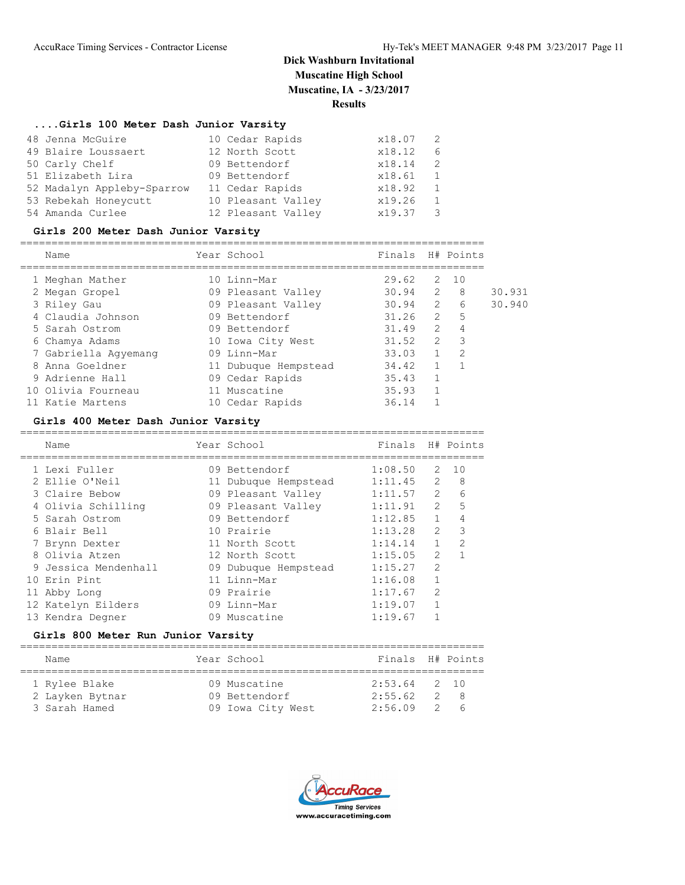## **....Girls 100 Meter Dash Junior Varsity**

| 48 Jenna McGuire           | 10 Cedar Rapids    | x18.07 |     |
|----------------------------|--------------------|--------|-----|
| 49 Blaire Loussaert        | 12 North Scott     | x18.12 | - 6 |
| 50 Carly Chelf             | 09 Bettendorf      | x18.14 | -2  |
| 51 Elizabeth Lira          | 09 Bettendorf      | x18.61 |     |
| 52 Madalyn Appleby-Sparrow | 11 Cedar Rapids    | x18.92 |     |
| 53 Rebekah Honeycutt       | 10 Pleasant Valley | x19.26 |     |
| 54 Amanda Curlee           | 12 Pleasant Valley | x19.37 |     |

## **Girls 200 Meter Dash Junior Varsity**

|   | Name                 |    | Year School          | Finals |                | H# Points     |        |
|---|----------------------|----|----------------------|--------|----------------|---------------|--------|
|   | 1 Meghan Mather      |    | 10 Linn-Mar          | 29.62  | 2              | 1 O           |        |
|   | 2 Megan Gropel       |    | 09 Pleasant Valley   | 30.94  | $\mathcal{L}$  | 8             | 30.931 |
|   | 3 Riley Gau          |    | 09 Pleasant Valley   | 30.94  | $\overline{2}$ | 6             | 30.940 |
|   | 4 Claudia Johnson    |    | 09 Bettendorf        | 31.26  | $\mathcal{L}$  | 5             |        |
|   | 5 Sarah Ostrom       |    | 09 Bettendorf        | 31.49  | $\mathcal{L}$  | 4             |        |
|   | 6 Chamya Adams       |    | 10 Iowa City West    | 31.52  | $\mathcal{L}$  | 3             |        |
|   | 7 Gabriella Aqyemanq |    | 09 Linn-Mar          | 33.03  |                | $\mathcal{D}$ |        |
| 8 | Anna Goeldner        |    | 11 Dubuque Hempstead | 34.42  |                |               |        |
|   | 9 Adrienne Hall      |    | 09 Cedar Rapids      | 35.43  |                |               |        |
|   | 10 Olivia Fourneau   |    | 11 Muscatine         | 35.93  |                |               |        |
|   | 11 Katie Martens     | 10 | Cedar Rapids         | 36.14  |                |               |        |

### **Girls 400 Meter Dash Junior Varsity**

| Name                 | Year School          | Finals  |                | H# Points     |
|----------------------|----------------------|---------|----------------|---------------|
| 1 Lexi Fuller        | 09 Bettendorf        | 1:08.50 | $\mathcal{L}$  | 10            |
| 2 Ellie O'Neil       | 11 Dubuque Hempstead | 1:11.45 | $\mathcal{L}$  | - 8           |
| 3 Claire Bebow       | 09 Pleasant Valley   | 1:11.57 | $\mathcal{L}$  | 6             |
| 4 Olivia Schilling   | 09 Pleasant Valley   | 1:11.91 | $\mathcal{L}$  | 5             |
| 5 Sarah Ostrom       | 09 Bettendorf        | 1:12.85 | $\mathbf{1}$   | 4             |
| 6 Blair Bell         | 10 Prairie           | 1:13.28 | $\mathcal{P}$  | 3             |
| 7 Brynn Dexter       | 11 North Scott       | 1:14.14 |                | $\mathcal{D}$ |
| 8 Olivia Atzen       | 12 North Scott       | 1:15.05 | $\mathcal{L}$  |               |
| 9 Jessica Mendenhall | 09 Dubuque Hempstead | 1:15.27 | $\mathfrak{D}$ |               |
| 10 Erin Pint         | 11 Linn-Mar          | 1:16.08 |                |               |
| 11 Abby Long         | 09 Prairie           | 1:17.67 | $\mathfrak{D}$ |               |
| 12 Katelyn Eilders   | 09 Linn-Mar          | 1:19.07 |                |               |
| 13 Kendra Degner     | 09 Muscatine         | 1:19.67 |                |               |
|                      |                      |         |                |               |

## **Girls 800 Meter Run Junior Varsity**

| Name            |  | Year School       | Finals H# Points |                |       |  |  |  |  |  |
|-----------------|--|-------------------|------------------|----------------|-------|--|--|--|--|--|
| 1 Rylee Blake   |  | 09 Muscatine      | $2:53.64$ 2 10   |                |       |  |  |  |  |  |
| 2 Layken Bytnar |  | 09 Bettendorf     | 2:55.62          |                | $2^8$ |  |  |  |  |  |
| 3 Sarah Hamed   |  | 09 Iowa City West | 2:56.09          | $\overline{2}$ | Б     |  |  |  |  |  |

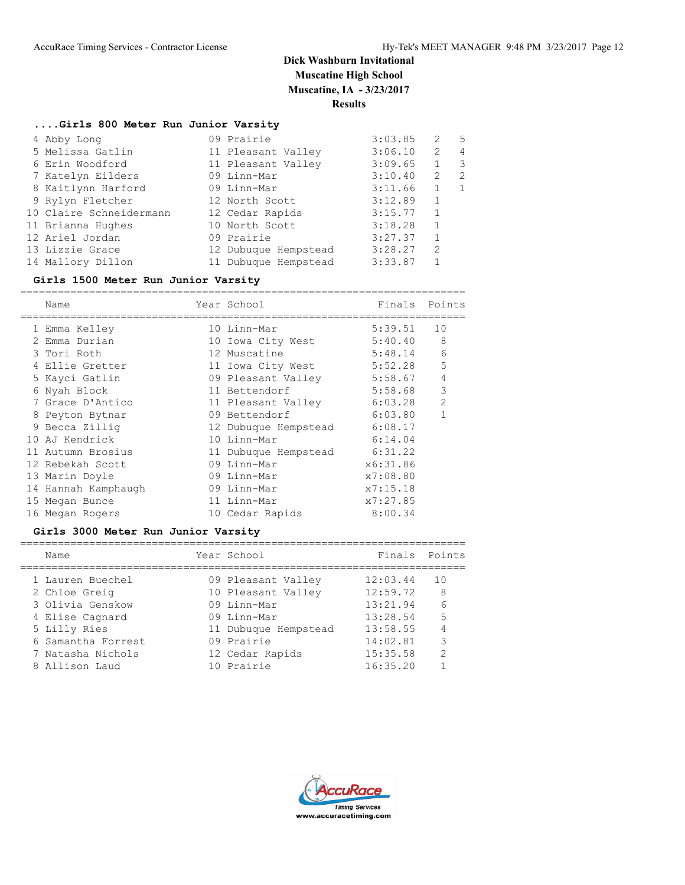## **....Girls 800 Meter Run Junior Varsity**

| 4 Abby Long             | 09 Prairie           | 3:03.85 | 2              | .5             |
|-------------------------|----------------------|---------|----------------|----------------|
| 5 Melissa Gatlin        | 11 Pleasant Valley   | 3:06.10 | 2              | $\overline{4}$ |
| 6 Erin Woodford         | 11 Pleasant Valley   | 3:09.65 | $\mathbf{1}$   | 3              |
| 7 Katelyn Eilders       | 09 Linn-Mar          | 3:10.40 | 2              | 2              |
| 8 Kaitlynn Harford      | 09 Linn-Mar          | 3:11.66 |                |                |
| 9 Rylyn Fletcher        | 12 North Scott       | 3:12.89 | $\mathbf{1}$   |                |
| 10 Claire Schneidermann | 12 Cedar Rapids      | 3:15.77 | $\mathbf{1}$   |                |
| 11 Brianna Hughes       | 10 North Scott       | 3:18.28 | $\mathbf{1}$   |                |
| 12 Ariel Jordan         | 09 Prairie           | 3:27.37 | $\mathbf{1}$   |                |
| 13 Lizzie Grace         | 12 Dubuque Hempstead | 3:28.27 | $\overline{2}$ |                |
| 14 Mallory Dillon       | 11 Dubuque Hempstead | 3:33.87 |                |                |

## **Girls 1500 Meter Run Junior Varsity**

|   | Name                | Year School          | Finals   | Points         |
|---|---------------------|----------------------|----------|----------------|
|   | 1 Emma Kelley       | 10 Linn-Mar          | 5:39.51  | 10             |
|   | 2 Emma Durian       | 10 Iowa City West    | 5:40.40  | 8              |
|   | 3 Tori Roth         | 12 Muscatine         | 5:48.14  | 6              |
|   | Ellie Gretter       | 11 Iowa City West    | 5:52.28  | 5              |
|   | 5 Kayci Gatlin      | 09 Pleasant Valley   | 5:58.67  | 4              |
| 6 | Nyah Block          | 11 Bettendorf        | 5:58.68  | 3              |
|   | 7 Grace D'Antico    | 11 Pleasant Valley   | 6:03.28  | $\overline{2}$ |
|   | 8 Peyton Bytnar     | 09 Bettendorf        | 6:03.80  | 1              |
|   | 9 Becca Zilliq      | 12 Dubuque Hempstead | 6:08.17  |                |
|   | 10 AJ Kendrick      | 10 Linn-Mar          | 6:14.04  |                |
|   | 11 Autumn Brosius   | 11 Dubuque Hempstead | 6:31.22  |                |
|   | 12 Rebekah Scott    | 09 Linn-Mar          | x6:31.86 |                |
|   | 13 Marin Doyle      | 09 Linn-Mar          | x7:08.80 |                |
|   | 14 Hannah Kamphaugh | 09 Linn-Mar          | x7:15.18 |                |
|   | 15 Megan Bunce      | 11 Linn-Mar          | x7:27.85 |                |
|   | 16 Megan Rogers     | 10 Cedar Rapids      | 8:00.34  |                |

## **Girls 3000 Meter Run Junior Varsity**

| Name               | Year School          | Finals   | Points          |
|--------------------|----------------------|----------|-----------------|
| 1 Lauren Buechel   | 09 Pleasant Valley   | 12:03.44 | 10              |
| 2 Chloe Greig      | 10 Pleasant Valley   | 12:59.72 | 8               |
| 3 Olivia Genskow   | 09 Linn-Mar          | 13:21.94 | $6\overline{6}$ |
| 4 Elise Cagnard    | 09 Linn-Mar          | 13:28.54 | .5              |
| 5 Lilly Ries       | 11 Dubuque Hempstead | 13:58.55 |                 |
| 6 Samantha Forrest | 09 Prairie           | 14:02.81 | 3               |
| 7 Natasha Nichols  | 12 Cedar Rapids      | 15:35.58 | 2               |
| 8 Allison Laud     | 10 Prairie           | 16:35.20 |                 |
|                    |                      |          |                 |

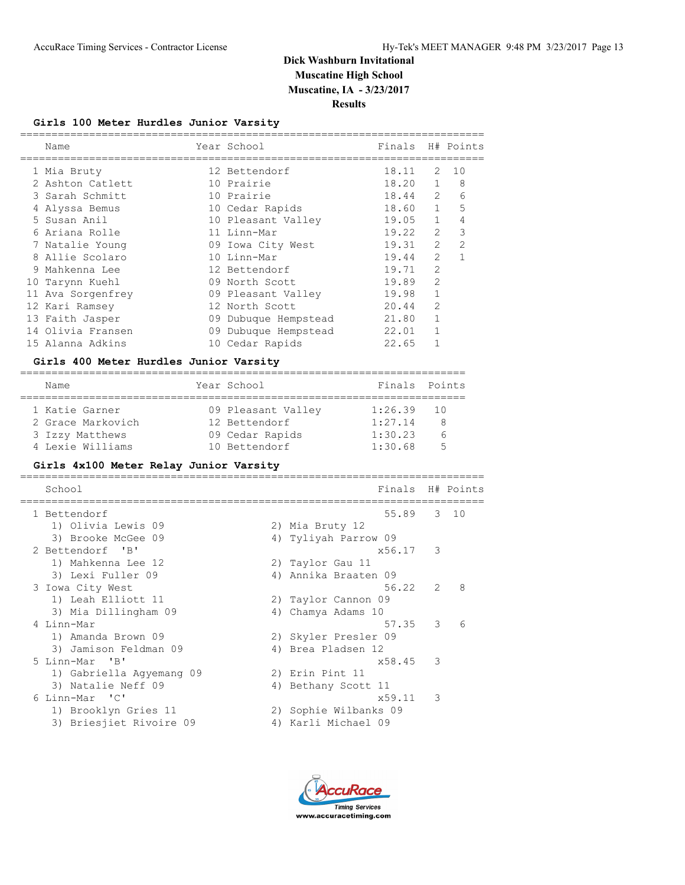## **Girls 100 Meter Hurdles Junior Varsity**

| Name              | Year School          | Finals |                | H# Points      |
|-------------------|----------------------|--------|----------------|----------------|
| 1 Mia Bruty       | 12 Bettendorf        | 18.11  | 2              | 10             |
| 2 Ashton Catlett  | 10 Prairie           | 18.20  | $\mathbf{1}$   | 8              |
| 3 Sarah Schmitt   | 10 Prairie           | 18.44  | $\overline{2}$ | 6              |
| 4 Alyssa Bemus    | 10 Cedar Rapids      | 18.60  | $\mathbf{1}$   | 5              |
| 5 Susan Anil      | 10 Pleasant Valley   | 19.05  | $\mathbf{1}$   | 4              |
| 6 Ariana Rolle    | 11 Linn-Mar          | 19.22  | $\mathfrak{D}$ | 3              |
| 7 Natalie Young   | 09 Iowa City West    | 19.31  | $\overline{2}$ | $\overline{2}$ |
| 8 Allie Scolaro   | 10 Linn-Mar          | 19.44  | $\mathcal{L}$  |                |
| 9 Mahkenna Lee    | 12 Bettendorf        | 19.71  | $\overline{2}$ |                |
| 10 Tarynn Kuehl   | 09 North Scott       | 19.89  | $\mathcal{P}$  |                |
| 11 Ava Sorgenfrey | 09 Pleasant Valley   | 19.98  |                |                |
| 12 Kari Ramsey    | 12 North Scott       | 20.44  | $\overline{2}$ |                |
| 13 Faith Jasper   | 09 Dubuque Hempstead | 21.80  |                |                |
| 14 Olivia Fransen | 09 Dubuque Hempstead | 22.01  |                |                |
| 15 Alanna Adkins  | 10 Cedar Rapids      | 22.65  |                |                |

### **Girls 400 Meter Hurdles Junior Varsity**

| Name              | Year School        | Finals Points |   |
|-------------------|--------------------|---------------|---|
| 1 Katie Garner    | 09 Pleasant Valley | $1:26.39$ 10  |   |
| 2 Grace Markovich | 12 Bettendorf      | 1:27.14       | 8 |
| 3 Izzy Matthews   | 09 Cedar Rapids    | 1:30.23       |   |
| 4 Lexie Williams  | 10 Bettendorf      | 1:30.68       | 气 |

### **Girls 4x100 Meter Relay Junior Varsity**

| School                   | Finals H# Points      |               |   |
|--------------------------|-----------------------|---------------|---|
| 1 Bettendorf             | 55.89 3 10            |               |   |
| 1) Olivia Lewis 09       | 2) Mia Bruty 12       |               |   |
| 3) Brooke McGee 09       | 4) Tyliyah Parrow 09  |               |   |
| 2 Bettendorf 'B'         | x56.17 3              |               |   |
| 1) Mahkenna Lee 12       | 2) Taylor Gau 11      |               |   |
| 3) Lexi Fuller 09        | 4) Annika Braaten 09  |               |   |
| 3 Iowa City West         | 56.22                 | $\mathcal{L}$ | 8 |
| 1) Leah Elliott 11       | 2) Taylor Cannon 09   |               |   |
| 3) Mia Dillingham 09     | 4) Chamya Adams 10    |               |   |
| 4 Linn-Mar               | 57.35                 | 3             | 6 |
| 1) Amanda Brown 09       | 2) Skyler Presler 09  |               |   |
| 3) Jamison Feldman 09    | 4) Brea Pladsen 12    |               |   |
| 5 Linn-Mar 'B'           | x58.45                | 3             |   |
| 1) Gabriella Aqyemang 09 | 2) Erin Pint 11       |               |   |
| 3) Natalie Neff 09       | 4) Bethany Scott 11   |               |   |
| 6 Linn-Mar 'C'           | x59.11                | 3             |   |
| 1) Brooklyn Gries 11     | 2) Sophie Wilbanks 09 |               |   |
| 3) Briesjiet Rivoire 09  | 4) Karli Michael 09   |               |   |

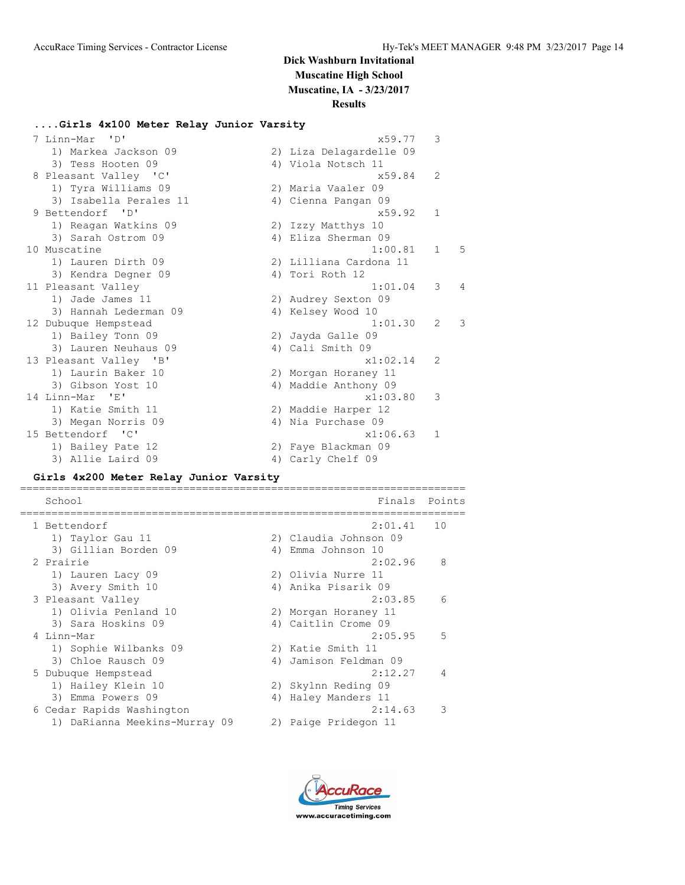## **Dick Washburn Invitational Muscatine High School**

**Muscatine, IA - 3/23/2017**

### **Results**

### **....Girls 4x100 Meter Relay Junior Varsity**

| Linn-Mar 'D'           | x59.77                  | 3              |                |
|------------------------|-------------------------|----------------|----------------|
| 1) Markea Jackson 09   | 2) Liza Delagardelle 09 |                |                |
| 3) Tess Hooten 09      | 4) Viola Notsch 11      |                |                |
| 8 Pleasant Valley 'C'  | x59.84                  | 2              |                |
| 1) Tyra Williams 09    | 2) Maria Vaaler 09      |                |                |
| 3) Isabella Perales 11 | 4) Cienna Pangan 09     |                |                |
| 9 Bettendorf 'D'       | x59.92                  | $\mathbf{1}$   |                |
| 1) Reagan Watkins 09   | 2) Izzy Matthys 10      |                |                |
| 3) Sarah Ostrom 09     | 4) Eliza Sherman 09     |                |                |
| 10 Muscatine           | 1:00.81                 | $\mathbf{1}$   | 5              |
| 1) Lauren Dirth 09     | 2) Lilliana Cardona 11  |                |                |
| 3) Kendra Degner 09    | 4) Tori Roth 12         |                |                |
| 11 Pleasant Valley     | 1:01.04                 | 3              | $\overline{4}$ |
| 1) Jade James 11       | 2) Audrey Sexton 09     |                |                |
| 3) Hannah Lederman 09  | 4) Kelsey Wood 10       |                |                |
| 12 Dubuque Hempstead   | 1:01.30                 | $\overline{2}$ | 3              |
| 1) Bailey Tonn 09      | 2) Jayda Galle 09       |                |                |
| 3) Lauren Neuhaus 09   | 4) Cali Smith 09        |                |                |
| 13 Pleasant Valley 'B' | x1:02.14                | $\mathcal{L}$  |                |
| 1) Laurin Baker 10     | 2) Morgan Horaney 11    |                |                |
| 3) Gibson Yost 10      | 4) Maddie Anthony 09    |                |                |
| 14 Linn-Mar 'E'        | x1:03.80                | 3              |                |
| 1) Katie Smith 11      | 2) Maddie Harper 12     |                |                |
| 3) Megan Norris 09     | 4) Nia Purchase 09      |                |                |
| 15 Bettendorf 'C'      | x1:06.63                | $\mathbf{1}$   |                |
| 1) Bailey Pate 12      | 2) Faye Blackman 09     |                |                |
| 3) Allie Laird 09      | 4) Carly Chelf 09       |                |                |

#### **Girls 4x200 Meter Relay Junior Varsity**

School **Finals** Points Points Points Points Points Points Points Points Points Points Points Points Points Points Points Points Points Points Points Points Points Points Points Points Points Points Points Points Points Poi ======================================================================= 1 Bettendorf 2:01.41 10 1) Taylor Gau 11 2) Claudia Johnson 09 3) Gillian Borden 09 (4) Emma Johnson 10 2 Prairie 2:02.96 8 1) Lauren Lacy 09 2) Olivia Nurre 11 3) Avery Smith 10 4) Anika Pisarik 09 3 Pleasant Valley 2:03.85 6 1) Olivia Penland 10 2) Morgan Horaney 11 3) Sara Hoskins 09 (4) Caitlin Crome 09 4 Linn-Mar 2:05.95 5 1) Sophie Wilbanks 09 2) Katie Smith 11 3) Chloe Rausch 09 4) Jamison Feldman 09 5 Dubuque Hempstead 2:12.27 4 1) Hailey Klein 10 2) Skylnn Reding 09 3) Emma Powers 09 (4) Haley Manders 11 6 Cedar Rapids Washington 2:14.63 3 1) DaRianna Meekins-Murray 09 2) Paige Pridegon 11

=======================================================================

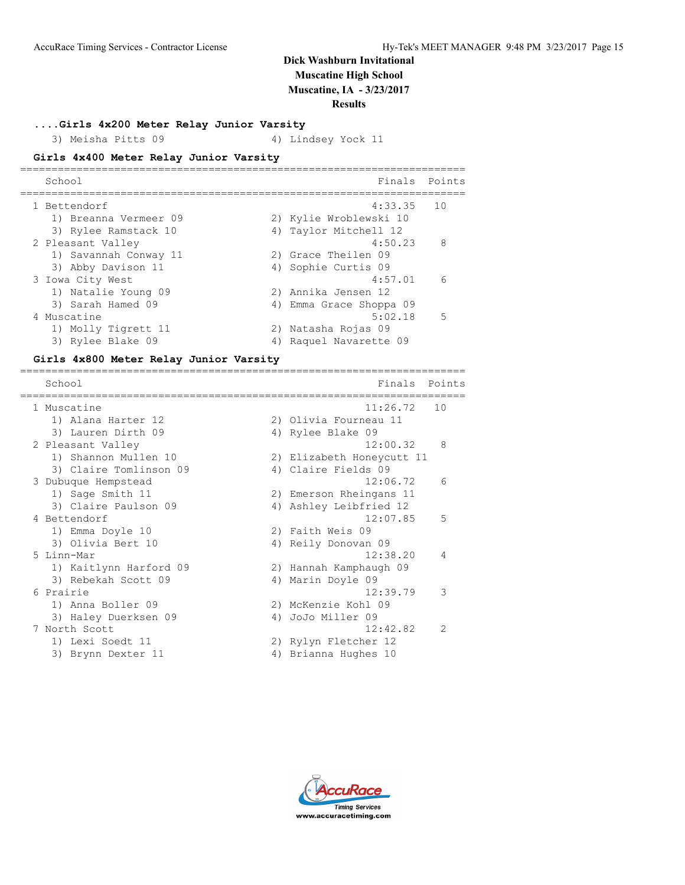**....Girls 4x200 Meter Relay Junior Varsity**

3) Meisha Pitts 09 4) Lindsey Yock 11

#### **Girls 4x400 Meter Relay Junior Varsity**

| School                | Finals                  | Points |
|-----------------------|-------------------------|--------|
| 1 Bettendorf          | 4:33.35                 | 10     |
| 1) Breanna Vermeer 09 | 2) Kylie Wroblewski 10  |        |
| 3) Rylee Ramstack 10  | 4) Taylor Mitchell 12   |        |
| 2 Pleasant Valley     | 4:50.23                 | 8      |
| 1) Savannah Conway 11 | 2) Grace Theilen 09     |        |
| 3) Abby Davison 11    | 4) Sophie Curtis 09     |        |
| 3 Iowa City West      | 4:57.01                 | 6      |
| 1) Natalie Young 09   | 2) Annika Jensen 12     |        |
| 3) Sarah Hamed 09     | 4) Emma Grace Shoppa 09 |        |
| 4 Muscatine           | 5:02.18                 | .5     |
| 1) Molly Tigrett 11   | 2) Natasha Rojas 09     |        |
| 3) Rylee Blake 09     | Raquel Navarette 09     |        |

=======================================================================

#### **Girls 4x800 Meter Relay Junior Varsity**

School **Finals** Points ======================================================================= 1 Muscatine 11:26.72 10 1) Alana Harter 12 2) Olivia Fourneau 11 3) Lauren Dirth 09 4) Rylee Blake 09 2 Pleasant Valley 12:00.32 8 1) Shannon Mullen 10 2) Elizabeth Honeycutt 11 3) Claire Tomlinson 09 4) Claire Fields 09 3 Dubuque Hempstead 12:06.72 6 1) Sage Smith 11 2) Emerson Rheingans 11 3) Claire Paulson 09 4) Ashley Leibfried 12 1) Sage Smith 11 (1993) 2) Emerson Rheingans 11<br>
13) Claire Paulson 09 (1994) 4) Ashley Leibfried 12<br>
12:07.85 5 1) Emma Doyle 10 2) Faith Weis 09 3) Olivia Bert 10  $\hskip1cm$  4) Reily Donovan 09 5 Linn-Mar 12:38.20 4 1) Kaitlynn Harford 09 2) Hannah Kamphaugh 09 3) Rebekah Scott 09 1 4) Marin Doyle 09 6 Prairie 12:39.79 3 1) Anna Boller 09 2) McKenzie Kohl 09 3) Haley Duerksen 09 4) JoJo Miller 09 7 North Scott 12:42.82 2 1) Lexi Soedt 11 2) Rylyn Fletcher 12 3) Brynn Dexter 11 1988 (4) Brianna Hughes 10

**Timina Services** www.accuracetiming.com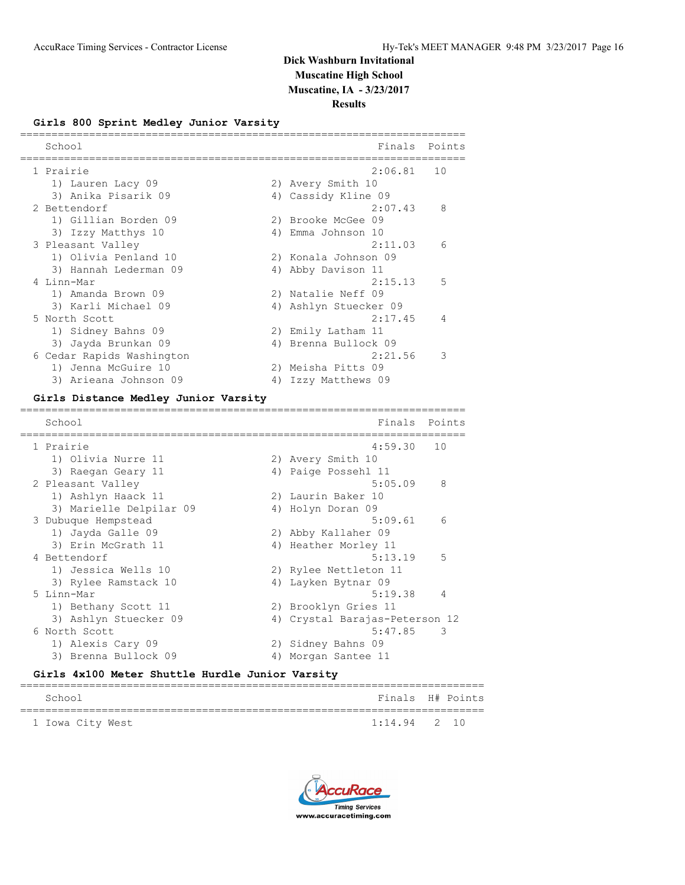**Results**

### **Girls 800 Sprint Medley Junior Varsity**

| School                    |    | Finals                | Points         |
|---------------------------|----|-----------------------|----------------|
| 1 Prairie                 |    | 2:06.81               | 10             |
| 1) Lauren Lacy 09         |    | 2) Avery Smith 10     |                |
| 3) Anika Pisarik 09       |    | 4) Cassidy Kline 09   |                |
| 2 Bettendorf              |    | 2:07.43               | 8              |
| 1) Gillian Borden 09      |    | 2) Brooke McGee 09    |                |
| 3) Izzy Matthys 10        | 4) | Emma Johnson 10       |                |
| 3 Pleasant Valley         |    | 2:11.03               | 6              |
| 1) Olivia Penland 10      |    | 2) Konala Johnson 09  |                |
| 3) Hannah Lederman 09     | 4) | Abby Davison 11       |                |
| 4 Linn-Mar                |    | 2:15.13               | 5              |
| 1) Amanda Brown 09        |    | 2) Natalie Neff 09    |                |
| 3) Karli Michael 09       |    | 4) Ashlyn Stuecker 09 |                |
| 5 North Scott             |    | 2:17.45               | $\overline{4}$ |
| 1) Sidney Bahns 09        |    | 2) Emily Latham 11    |                |
| 3) Jayda Brunkan 09       |    | 4) Brenna Bullock 09  |                |
| 6 Cedar Rapids Washington |    | 2:21.56               | 3              |
| 1) Jenna McGuire 10       |    | 2) Meisha Pitts 09    |                |
| 3) Arieana Johnson 09     | 4) | Izzy Matthews 09      |                |

#### **Girls Distance Medley Junior Varsity**

======================================================================= School **Finals** Points ======================================================================= 1 Prairie 4:59.30 10 1) Olivia Nurre 11 2) Avery Smith 10 3) Raegan Geary 11 (4) Paige Possehl 11 2 Pleasant Valley 5:05.09 8 1) Ashlyn Haack 11 2) Laurin Baker 10 3) Marielle Delpilar 09 4) Holyn Doran 09 3 Dubuque Hempstead 5:09.61 6 1) Jayda Galle 09 2) Abby Kallaher 09 3) Erin McGrath 11 1 4) Heather Morley 11 4 Bettendorf 5:13.19 5 1) Jessica Wells 10 2) Rylee Nettleton 11 3) Rylee Ramstack 10 4) Layken Bytnar 09 5 Linn-Mar 5:19.38 4 1) Bethany Scott 11 2) Brooklyn Gries 11 3) Ashlyn Stuecker 09 4) Crystal Barajas-Peterson 12 6 North Scott 5:47.85 3<br>1) Alexis Cary 09 3<br>2) Sidney Bahns 09 2) Sidney Bahns 09<br>
<sup>1</sup>) Margar Cartes 12 3) Brenna Bullock 09 4) Morgan Santee 11

#### **Girls 4x100 Meter Shuttle Hurdle Junior Varsity**

| School           | Finals H# Points |  |
|------------------|------------------|--|
| 1 Iowa City West | $1:14.94$ 2 10   |  |

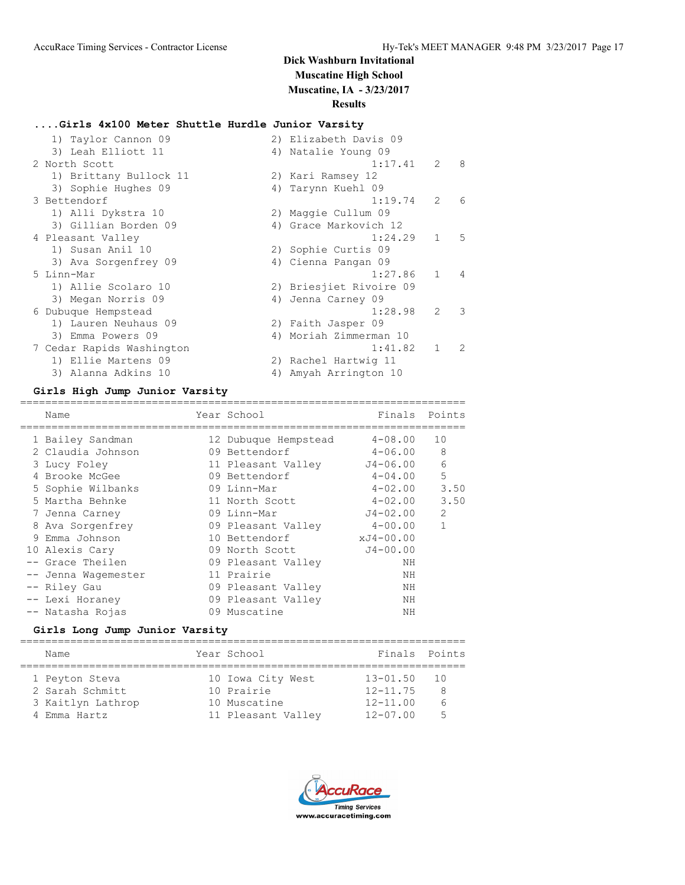## **....Girls 4x100 Meter Shuttle Hurdle Junior Varsity**

| 1) Taylor Cannon 09       |    | 2) Elizabeth Davis 09   |                |                |
|---------------------------|----|-------------------------|----------------|----------------|
| 3) Leah Elliott 11        |    | 4) Natalie Young 09     |                |                |
| 2 North Scott             |    | 1:17.41                 | $\overline{2}$ | -8             |
| 1) Brittany Bullock 11    |    | 2) Kari Ramsey 12       |                |                |
| 3) Sophie Hughes 09       |    | 4) Tarynn Kuehl 09      |                |                |
| 3 Bettendorf              |    | 1:19.74                 | $\mathcal{L}$  | 6              |
| 1) Alli Dykstra 10        |    | 2) Maggie Cullum 09     |                |                |
| 3) Gillian Borden 09      |    | 4) Grace Markovich 12   |                |                |
| 4 Pleasant Valley         |    | 1:24.29                 | $\mathbf{1}$   | 5              |
| 1) Susan Anil 10          |    | 2) Sophie Curtis 09     |                |                |
| 3) Ava Sorgenfrey 09      |    | 4) Cienna Pangan 09     |                |                |
| 5 Linn-Mar                |    | 1:27.86                 | $\mathbf{1}$   | $\overline{4}$ |
| 1) Allie Scolaro 10       |    | 2) Briesjiet Rivoire 09 |                |                |
| 3) Megan Norris 09        |    | 4) Jenna Carney 09      |                |                |
| 6 Dubuque Hempstead       |    | 1:28.98                 | $\mathcal{L}$  | $\mathcal{L}$  |
| 1) Lauren Neuhaus 09      |    | 2) Faith Jasper 09      |                |                |
| 3) Emma Powers 09         |    | 4) Moriah Zimmerman 10  |                |                |
| 7 Cedar Rapids Washington |    | 1:41.82                 | $\mathbf{1}$   | $\mathcal{L}$  |
| 1) Ellie Martens 09       |    | 2) Rachel Hartwig 11    |                |                |
| 3) Alanna Adkins 10       | 4) | Amyah Arrington 10      |                |                |

#### **Girls High Jump Junior Varsity**

| Name                | Year School          | Finals Points |                |
|---------------------|----------------------|---------------|----------------|
|                     |                      |               |                |
| 1 Bailey Sandman    | 12 Dubuque Hempstead | $4 - 08.00$   | 10             |
| 2 Claudia Johnson   | 09 Bettendorf        | $4 - 06.00$   | 8              |
| 3 Lucy Foley        | 11 Pleasant Valley   | J4-06.00      | 6              |
| 4 Brooke McGee      | 09 Bettendorf        | $4 - 04.00$   | 5              |
| 5 Sophie Wilbanks   | 09 Linn-Mar          | $4 - 02.00$   | 3.50           |
| 5 Martha Behnke     | 11 North Scott       | 4-02.00       | 3.50           |
| 7 Jenna Carney      | 09 Linn-Mar          | J4-02.00      | $\overline{2}$ |
| 8 Ava Sorgenfrey    | 09 Pleasant Valley   | $4 - 00.00$   | $\mathbf{1}$   |
| 9 Emma Johnson      | 10 Bettendorf        | xJ4-00.00     |                |
| 10 Alexis Cary      | 09 North Scott       | $J4 - 00.00$  |                |
| -- Grace Theilen    | 09 Pleasant Valley   | ΝH            |                |
| -- Jenna Wagemester | 11 Prairie           | ΝH            |                |
| -- Riley Gau        | 09 Pleasant Valley   | ΝH            |                |
| -- Lexi Horaney     | 09 Pleasant Valley   | ΝH            |                |
| -- Natasha Rojas    | 09 Muscatine         | NΗ            |                |

### **Girls Long Jump Junior Varsity**

| Name              | Year School        | Finals Points |      |
|-------------------|--------------------|---------------|------|
|                   |                    |               |      |
| 1 Peyton Steva    | 10 Iowa City West  | $13 - 01.50$  | - 10 |
| 2 Sarah Schmitt   | 10 Prairie         | $12 - 11.75$  | -8   |
| 3 Kaitlyn Lathrop | 10 Muscatine       | $12 - 11.00$  | 6    |
| 4 Emma Hartz      | 11 Pleasant Valley | $12 - 07.00$  | 5    |

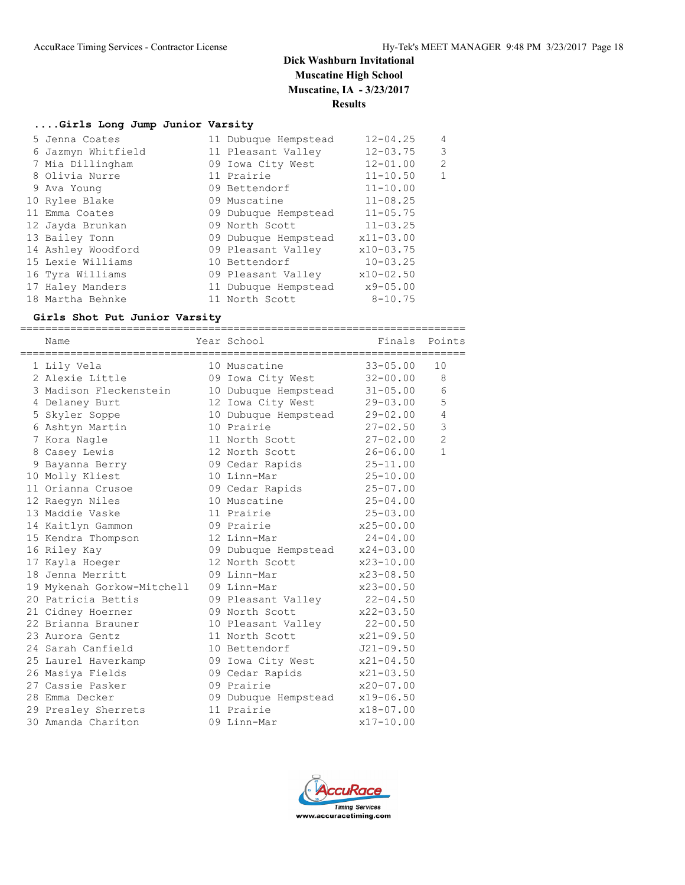#### **....Girls Long Jump Junior Varsity**

| 5 Jenna Coates     | 11 Dubuque Hempstead | $12 - 04.25$  | 4              |
|--------------------|----------------------|---------------|----------------|
| 6 Jazmyn Whitfield | 11 Pleasant Valley   | $12 - 03.75$  | 3              |
| 7 Mia Dillingham   | 09 Iowa City West    | $12 - 01.00$  | $\overline{2}$ |
| 8 Olivia Nurre     | 11 Prairie           | $11 - 10.50$  | $\mathbf{1}$   |
| 9 Ava Young        | 09 Bettendorf        | $11 - 10.00$  |                |
| 10 Rylee Blake     | 09 Muscatine         | $11 - 08.25$  |                |
| 11 Emma Coates     | 09 Dubuque Hempstead | $11 - 05.75$  |                |
| 12 Jayda Brunkan   | 09 North Scott       | $11 - 03.25$  |                |
| 13 Bailey Tonn     | 09 Dubuque Hempstead | $x11 - 03.00$ |                |
| 14 Ashley Woodford | 09 Pleasant Valley   | $x10-03.75$   |                |
| 15 Lexie Williams  | 10 Bettendorf        | $10 - 03.25$  |                |
| 16 Tyra Williams   | 09 Pleasant Valley   | $x10-02.50$   |                |
| 17 Haley Manders   | 11 Dubuque Hempstead | $x9 - 05.00$  |                |
| 18 Martha Behnke   | 11 North Scott       | $8 - 10.75$   |                |

#### **Girls Shot Put Junior Varsity**

======================================================================= Name **Year School** Finals Points ======================================================================= 1 Lily Vela 10 Muscatine 33-05.00 10 2 Alexie Little 09 Iowa City West 32-00.00 8 3 Madison Fleckenstein 10 Dubuque Hempstead 31-05.00 6 4 Delaney Burt 12 Iowa City West 29-03.00 5 5 Skyler Soppe 10 Dubuque Hempstead 29-02.00 4 6 Ashtyn Martin 10 Prairie 27-02.50 3 7 Kora Nagle 11 North Scott 27-02.00 2 8 Casey Lewis 12 North Scott 26-06.00 1 9 Bayanna Berry 09 Cedar Rapids 25-11.00 10 Molly Kliest 10 Linn-Mar 25-10.00 11 Orianna Crusoe 09 Cedar Rapids 25-07.00 12 Raegyn Niles 10 Muscatine 25-04.00 13 Maddie Vaske 11 Prairie 25-03.00 14 Kaitlyn Gammon 09 Prairie x25-00.00 15 Kendra Thompson 12 Linn-Mar 24-04.00 16 Riley Kay 09 Dubuque Hempstead x24-03.00 17 Kayla Hoeger 12 North Scott x23-10.00 18 Jenna Merritt 09 Linn-Mar x23-08.50 19 Mykenah Gorkow-Mitchell 09 Linn-Mar x23-00.50 20 Patricia Bettis 09 Pleasant Valley 22-04.50 21 Cidney Hoerner 09 North Scott x22-03.50 22 Brianna Brauner 10 Pleasant Valley 22-00.50 23 Aurora Gentz 11 North Scott x21-09.50 24 Sarah Canfield 10 Bettendorf J21-09.50 25 Laurel Haverkamp 09 Iowa City West x21-04.50 26 Masiya Fields 09 Cedar Rapids x21-03.50 27 Cassie Pasker 09 Prairie x20-07.00 28 Emma Decker 09 Dubuque Hempstead x19-06.50 29 Presley Sherrets 11 Prairie x18-07.00 30 Amanda Chariton 09 Linn-Mar x17-10.00

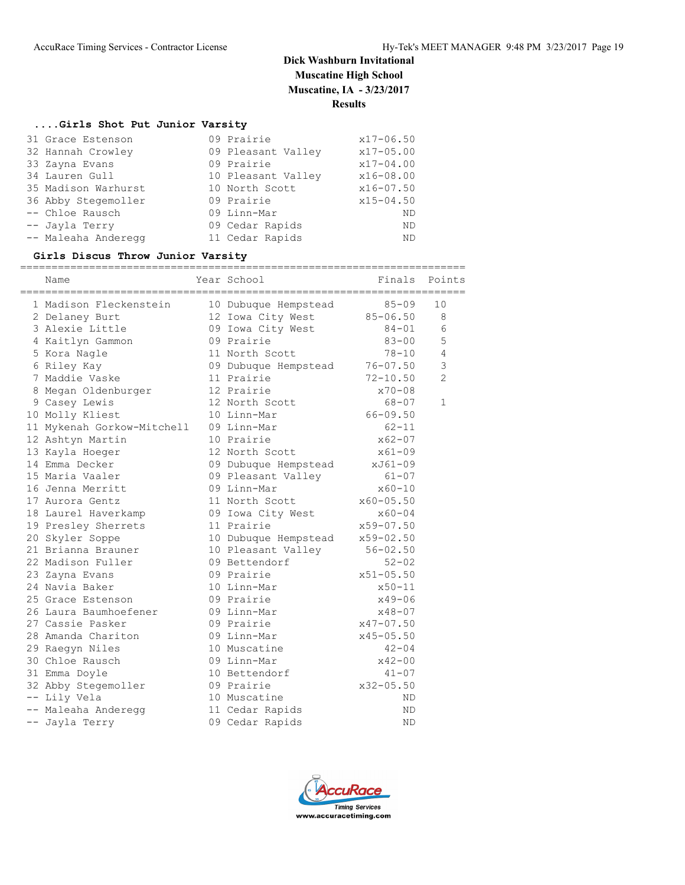## **....Girls Shot Put Junior Varsity**

| 31 Grace Estenson   | 09 Prairie         | $x17 - 06.50$ |
|---------------------|--------------------|---------------|
| 32 Hannah Crowley   | 09 Pleasant Valley | $x17 - 05.00$ |
| 33 Zayna Evans      | 09 Prairie         | $x17 - 04.00$ |
| 34 Lauren Gull      | 10 Pleasant Valley | $x16 - 08.00$ |
| 35 Madison Warhurst | 10 North Scott     | $x16 - 07.50$ |
| 36 Abby Stegemoller | 09 Prairie         | $x15 - 04.50$ |
| -- Chloe Rausch     | 09 Linn-Mar        | <b>ND</b>     |
| -- Jayla Terry      | 09 Cedar Rapids    | ND.           |
| -- Maleaha Anderegg | 11 Cedar Rapids    | <b>ND</b>     |

## **Girls Discus Throw Junior Varsity**

|  | ===========<br>Name        | Year School          | Finals        | Points         |
|--|----------------------------|----------------------|---------------|----------------|
|  | 1 Madison Fleckenstein     | 10 Dubuque Hempstead | $85 - 09$     | 10             |
|  | 2 Delaney Burt             | 12 Iowa City West    | $85 - 06.50$  | 8              |
|  | 3 Alexie Little            | 09 Iowa City West    | $84 - 01$     | 6              |
|  | 4 Kaitlyn Gammon           | 09 Prairie           | $83 - 00$     | 5              |
|  | 5 Kora Nagle               | 11 North Scott       | $78 - 10$     | $\overline{4}$ |
|  | 6 Riley Kay                | 09 Dubuque Hempstead | $76 - 07.50$  | $\mathcal{S}$  |
|  | 7 Maddie Vaske             | 11 Prairie           | $72 - 10.50$  | $\overline{2}$ |
|  | 8 Megan Oldenburger        | 12 Prairie           | $x70 - 08$    |                |
|  | 9 Casey Lewis              | 12 North Scott       | $68 - 07$     | $\mathbf{1}$   |
|  | 10 Molly Kliest            | 10 Linn-Mar          | $66 - 09.50$  |                |
|  | 11 Mykenah Gorkow-Mitchell | 09 Linn-Mar          | $62 - 11$     |                |
|  | 12 Ashtyn Martin           | 10 Prairie           | $x62 - 07$    |                |
|  | 13 Kayla Hoeger            | 12 North Scott       | $x61 - 09$    |                |
|  | 14 Emma Decker             | 09 Dubuque Hempstead | xJ61-09       |                |
|  | 15 Maria Vaaler            | 09 Pleasant Valley   | $61 - 07$     |                |
|  | 16 Jenna Merritt           | 09 Linn-Mar          | $x60 - 10$    |                |
|  | 17 Aurora Gentz            | 11 North Scott       | $x60 - 05.50$ |                |
|  | 18 Laurel Haverkamp        | 09 Iowa City West    | $x60 - 04$    |                |
|  | 19 Presley Sherrets        | 11 Prairie           | x59-07.50     |                |
|  | 20 Skyler Soppe            | 10 Dubuque Hempstead | x59-02.50     |                |
|  | 21 Brianna Brauner         | 10 Pleasant Valley   | $56 - 02.50$  |                |
|  | 22 Madison Fuller          | 09 Bettendorf        | $52 - 02$     |                |
|  | 23 Zayna Evans             | 09 Prairie           | $x51 - 05.50$ |                |
|  | 24 Navia Baker             | 10 Linn-Mar          | $x50 - 11$    |                |
|  | 25 Grace Estenson          | 09 Prairie           | $x49 - 06$    |                |
|  | 26 Laura Baumhoefener      | 09 Linn-Mar          | $x48 - 07$    |                |
|  | 27 Cassie Pasker           | 09 Prairie           | $x47 - 07.50$ |                |
|  | 28 Amanda Chariton         | 09 Linn-Mar          | $x45 - 05.50$ |                |
|  | 29 Raegyn Niles            | 10 Muscatine         | $42 - 04$     |                |
|  | 30 Chloe Rausch            | 09 Linn-Mar          | $x42 - 00$    |                |
|  | 31 Emma Doyle              | 10 Bettendorf        | $41 - 07$     |                |
|  | 32 Abby Stegemoller        | 09 Prairie           | $x32 - 05.50$ |                |
|  | -- Lily Vela               | 10 Muscatine         | ΝD            |                |
|  | -- Maleaha Anderegg        | 11 Cedar Rapids      | ND            |                |
|  | -- Jayla Terry             | 09 Cedar Rapids      | ND            |                |
|  |                            |                      |               |                |